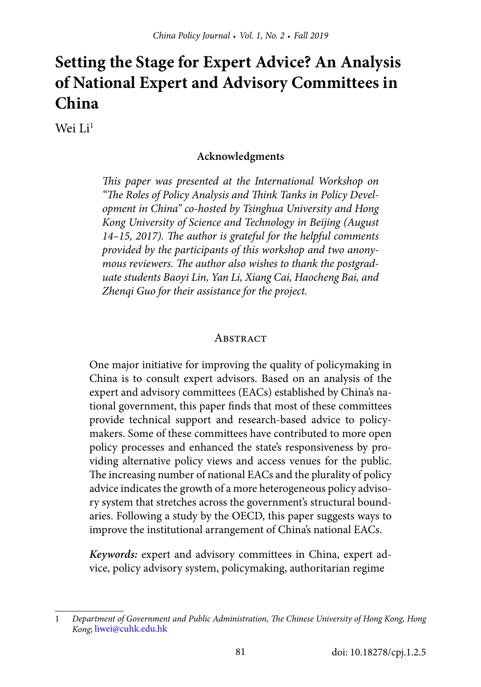# **Setting the Stage for Expert Advice? An Analysis of National Expert and Advisory Committees in China**

Wei Li<sup>1</sup>

#### **Acknowledgments**

*This paper was presented at the International Workshop on "The Roles of Policy Analysis and Think Tanks in Policy Development in China" co-hosted by Tsinghua University and Hong Kong University of Science and Technology in Beijing (August 14–15, 2017). The author is grateful for the helpful comments provided by the participants of this workshop and two anonymous reviewers. The author also wishes to thank the postgraduate students Baoyi Lin, Yan Li, Xiang Cai, Haocheng Bai, and Zhenqi Guo for their assistance for the project.*

#### **ABSTRACT**

One major initiative for improving the quality of policymaking in China is to consult expert advisors. Based on an analysis of the expert and advisory committees (EACs) established by China's national government, this paper finds that most of these committees provide technical support and research-based advice to policymakers. Some of these committees have contributed to more open policy processes and enhanced the state's responsiveness by providing alternative policy views and access venues for the public. The increasing number of national EACs and the plurality of policy advice indicates the growth of a more heterogeneous policy advisory system that stretches across the government's structural boundaries. Following a study by the OECD, this paper suggests ways to improve the institutional arrangement of China's national EACs.

*Keywords:* expert and advisory committees in China, expert advice, policy advisory system, policymaking, authoritarian regime

<sup>1</sup> *Department of Government and Public Administration, The Chinese University of Hong Kong, Hong Kong*; [liwei@cuhk.edu.hk](mailto:liwei@cuhk.edu.hk)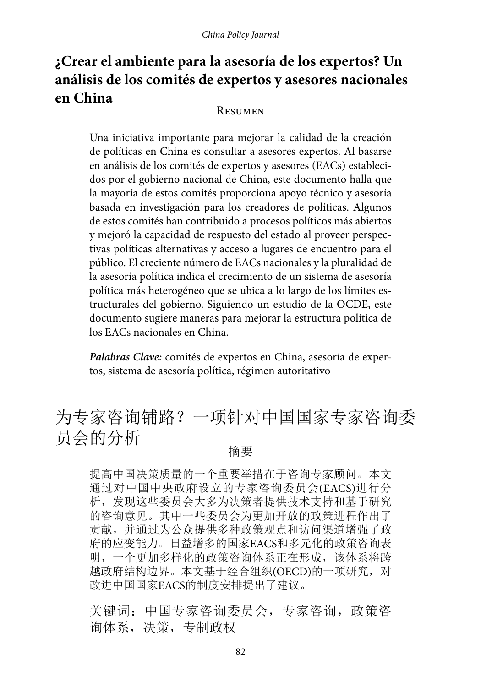## **¿Crear el ambiente para la asesoría de los expertos? Un análisis de los comités de expertos y asesores nacionales en China**

#### Resumen

Una iniciativa importante para mejorar la calidad de la creación de políticas en China es consultar a asesores expertos. Al basarse en análisis de los comités de expertos y asesores (EACs) establecidos por el gobierno nacional de China, este documento halla que la mayoría de estos comités proporciona apoyo técnico y asesoría basada en investigación para los creadores de políticas. Algunos de estos comités han contribuido a procesos políticos más abiertos y mejoró la capacidad de respuesto del estado al proveer perspectivas políticas alternativas y acceso a lugares de encuentro para el público. El creciente número de EACs nacionales y la pluralidad de la asesoría política indica el crecimiento de un sistema de asesoría política más heterogéneo que se ubica a lo largo de los límites estructurales del gobierno. Siguiendo un estudio de la OCDE, este documento sugiere maneras para mejorar la estructura política de los EACs nacionales en China.

*Palabras Clave:* comités de expertos en China, asesoría de expertos, sistema de asesoría política, régimen autoritativo

# 为专家咨询铺路?一项针对中国国家专家咨询委 员会的分析 <sub>摘要</sub>

提高中国决策质量的一个重要举措在于咨询专家顾问。本文 通过对中国中央政府设立的专家咨询委员会(EACS)进行分 析,发现这些委员会大多为决策者提供技术支持和基于研究 的咨询意见。其中一些委员会为更加开放的政策进程作出了 贡献,并通过为公众提供多种政策观点和访问渠道增强了政 府的应变能力。日益增多的国家EACS和多元化的政策咨询表 明,一个更加多样化的政策咨询体系正在形成,该体系将跨 越政府结构边界。本文基于经合组织(OECD)的一项研究,对 改进中国国家EACS的制度安排提出了建议。

关键词:中国专家咨询委员会,专家咨询,政策咨 询体系,决策,专制政权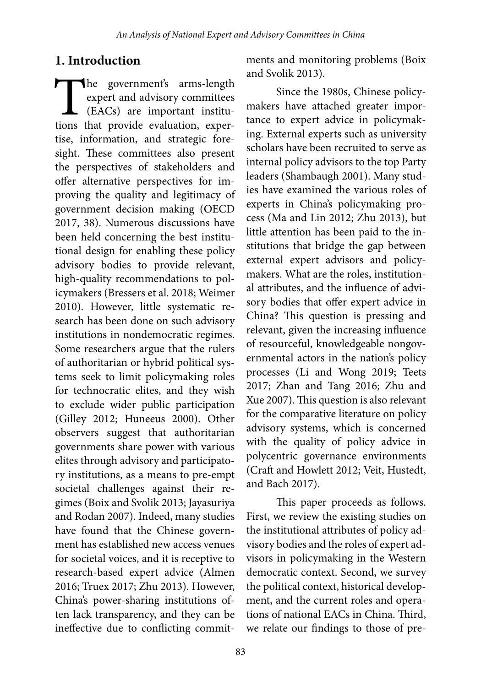## **1. Introduction**

The government's arms-length<br>expert and advisory committees<br>(EACs) are important institu-<br>tions that provide evaluation, experexpert and advisory committees (EACs) are important institutions that provide evaluation, expertise, information, and strategic foresight. These committees also present the perspectives of stakeholders and offer alternative perspectives for improving the quality and legitimacy of government decision making (OECD 2017, 38). Numerous discussions have been held concerning the best institutional design for enabling these policy advisory bodies to provide relevant, high-quality recommendations to policymakers (Bressers et al. 2018; Weimer 2010). However, little systematic research has been done on such advisory institutions in nondemocratic regimes. Some researchers argue that the rulers of authoritarian or hybrid political systems seek to limit policymaking roles for technocratic elites, and they wish to exclude wider public participation (Gilley 2012; Huneeus 2000). Other observers suggest that authoritarian governments share power with various elites through advisory and participatory institutions, as a means to pre-empt societal challenges against their regimes (Boix and Svolik 2013; Jayasuriya and Rodan 2007). Indeed, many studies have found that the Chinese government has established new access venues for societal voices, and it is receptive to research-based expert advice (Almen 2016; Truex 2017; Zhu 2013). However, China's power-sharing institutions often lack transparency, and they can be ineffective due to conflicting commitments and monitoring problems (Boix and Svolik 2013).

Since the 1980s, Chinese policymakers have attached greater importance to expert advice in policymaking. External experts such as university scholars have been recruited to serve as internal policy advisors to the top Party leaders (Shambaugh 2001). Many studies have examined the various roles of experts in China's policymaking process (Ma and Lin 2012; Zhu 2013), but little attention has been paid to the institutions that bridge the gap between external expert advisors and policymakers. What are the roles, institutional attributes, and the influence of advisory bodies that offer expert advice in China? This question is pressing and relevant, given the increasing influence of resourceful, knowledgeable nongovernmental actors in the nation's policy processes (Li and Wong 2019; Teets 2017; Zhan and Tang 2016; Zhu and Xue 2007). This question is also relevant for the comparative literature on policy advisory systems, which is concerned with the quality of policy advice in polycentric governance environments (Craft and Howlett 2012; Veit, Hustedt, and Bach 2017).

This paper proceeds as follows. First, we review the existing studies on the institutional attributes of policy advisory bodies and the roles of expert advisors in policymaking in the Western democratic context. Second, we survey the political context, historical development, and the current roles and operations of national EACs in China. Third, we relate our findings to those of pre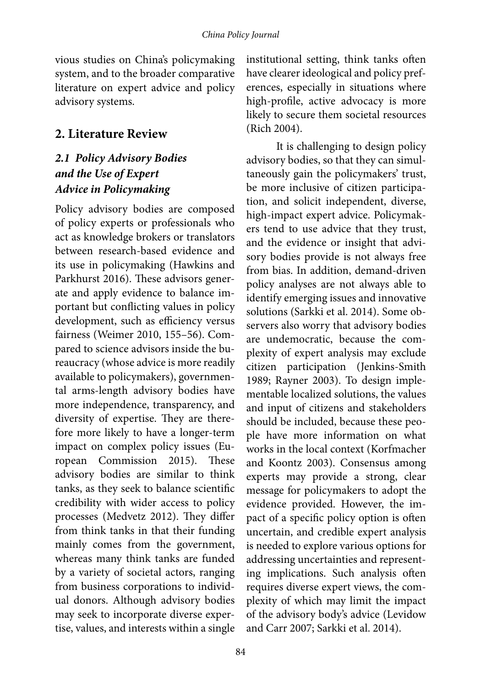vious studies on China's policymaking system, and to the broader comparative literature on expert advice and policy advisory systems.

## **2. Literature Review**

## *2.1 Policy Advisory Bodies and the Use of Expert Advice in Policymaking*

Policy advisory bodies are composed of policy experts or professionals who act as knowledge brokers or translators between research-based evidence and its use in policymaking (Hawkins and Parkhurst 2016). These advisors generate and apply evidence to balance important but conflicting values in policy development, such as efficiency versus fairness (Weimer 2010, 155–56). Compared to science advisors inside the bureaucracy (whose advice is more readily available to policymakers), governmental arms-length advisory bodies have more independence, transparency, and diversity of expertise. They are therefore more likely to have a longer-term impact on complex policy issues (European Commission 2015). These advisory bodies are similar to think tanks, as they seek to balance scientific credibility with wider access to policy processes (Medvetz 2012). They differ from think tanks in that their funding mainly comes from the government, whereas many think tanks are funded by a variety of societal actors, ranging from business corporations to individual donors. Although advisory bodies may seek to incorporate diverse expertise, values, and interests within a single

institutional setting, think tanks often have clearer ideological and policy preferences, especially in situations where high-profile, active advocacy is more likely to secure them societal resources (Rich 2004).

It is challenging to design policy advisory bodies, so that they can simultaneously gain the policymakers' trust, be more inclusive of citizen participation, and solicit independent, diverse, high-impact expert advice. Policymakers tend to use advice that they trust, and the evidence or insight that advisory bodies provide is not always free from bias. In addition, demand-driven policy analyses are not always able to identify emerging issues and innovative solutions (Sarkki et al. 2014). Some observers also worry that advisory bodies are undemocratic, because the complexity of expert analysis may exclude citizen participation (Jenkins-Smith 1989; Rayner 2003). To design implementable localized solutions, the values and input of citizens and stakeholders should be included, because these people have more information on what works in the local context (Korfmacher and Koontz 2003). Consensus among experts may provide a strong, clear message for policymakers to adopt the evidence provided. However, the impact of a specific policy option is often uncertain, and credible expert analysis is needed to explore various options for addressing uncertainties and representing implications. Such analysis often requires diverse expert views, the complexity of which may limit the impact of the advisory body's advice (Levidow and Carr 2007; Sarkki et al. 2014).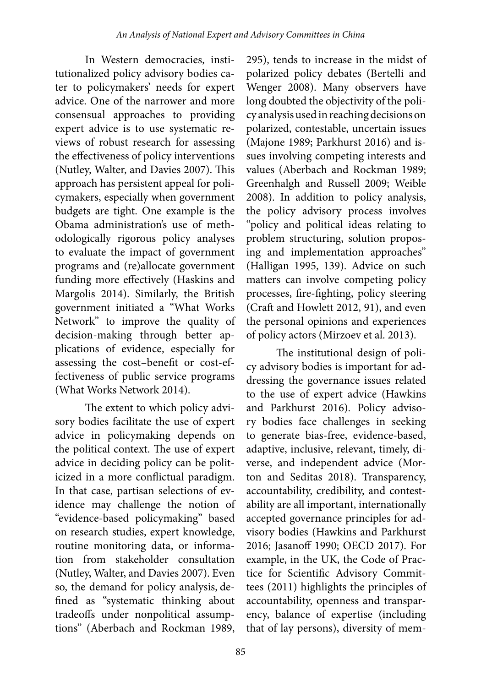In Western democracies, institutionalized policy advisory bodies cater to policymakers' needs for expert advice. One of the narrower and more consensual approaches to providing expert advice is to use systematic reviews of robust research for assessing the effectiveness of policy interventions (Nutley, Walter, and Davies 2007). This approach has persistent appeal for policymakers, especially when government budgets are tight. One example is the Obama administration's use of methodologically rigorous policy analyses to evaluate the impact of government programs and (re)allocate government funding more effectively (Haskins and Margolis 2014). Similarly, the British government initiated a "What Works Network" to improve the quality of decision-making through better applications of evidence, especially for assessing the cost–benefit or cost-effectiveness of public service programs (What Works Network 2014).

The extent to which policy advisory bodies facilitate the use of expert advice in policymaking depends on the political context. The use of expert advice in deciding policy can be politicized in a more conflictual paradigm. In that case, partisan selections of evidence may challenge the notion of "evidence-based policymaking" based on research studies, expert knowledge, routine monitoring data, or information from stakeholder consultation (Nutley, Walter, and Davies 2007). Even so, the demand for policy analysis, defined as "systematic thinking about tradeoffs under nonpolitical assumptions" (Aberbach and Rockman 1989,

295), tends to increase in the midst of polarized policy debates (Bertelli and Wenger 2008). Many observers have long doubted the objectivity of the policy analysis used in reaching decisions on polarized, contestable, uncertain issues (Majone 1989; Parkhurst 2016) and issues involving competing interests and values (Aberbach and Rockman 1989; Greenhalgh and Russell 2009; Weible 2008). In addition to policy analysis, the policy advisory process involves "policy and political ideas relating to problem structuring, solution proposing and implementation approaches" (Halligan 1995, 139). Advice on such matters can involve competing policy processes, fire-fighting, policy steering (Craft and Howlett 2012, 91), and even the personal opinions and experiences of policy actors (Mirzoev et al. 2013).

The institutional design of policy advisory bodies is important for addressing the governance issues related to the use of expert advice (Hawkins and Parkhurst 2016). Policy advisory bodies face challenges in seeking to generate bias-free, evidence-based, adaptive, inclusive, relevant, timely, diverse, and independent advice (Morton and Seditas 2018). Transparency, accountability, credibility, and contestability are all important, internationally accepted governance principles for advisory bodies (Hawkins and Parkhurst 2016; Jasanoff 1990; OECD 2017). For example, in the UK, the Code of Practice for Scientific Advisory Committees (2011) highlights the principles of accountability, openness and transparency, balance of expertise (including that of lay persons), diversity of mem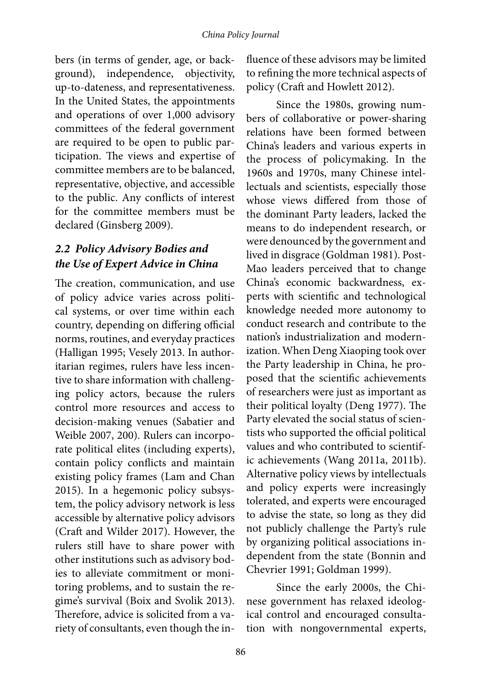bers (in terms of gender, age, or background), independence, objectivity, up-to-dateness, and representativeness. In the United States, the appointments and operations of over 1,000 advisory committees of the federal government are required to be open to public participation. The views and expertise of committee members are to be balanced, representative, objective, and accessible to the public. Any conflicts of interest for the committee members must be declared (Ginsberg 2009).

### *2.2 Policy Advisory Bodies and the Use of Expert Advice in China*

The creation, communication, and use of policy advice varies across political systems, or over time within each country, depending on differing official norms, routines, and everyday practices (Halligan 1995; Vesely 2013. In authoritarian regimes, rulers have less incentive to share information with challenging policy actors, because the rulers control more resources and access to decision-making venues (Sabatier and Weible 2007, 200). Rulers can incorporate political elites (including experts), contain policy conflicts and maintain existing policy frames (Lam and Chan 2015). In a hegemonic policy subsystem, the policy advisory network is less accessible by alternative policy advisors (Craft and Wilder 2017). However, the rulers still have to share power with other institutions such as advisory bodies to alleviate commitment or monitoring problems, and to sustain the regime's survival (Boix and Svolik 2013). Therefore, advice is solicited from a variety of consultants, even though the in-

fluence of these advisors may be limited to refining the more technical aspects of policy (Craft and Howlett 2012).

Since the 1980s, growing numbers of collaborative or power-sharing relations have been formed between China's leaders and various experts in the process of policymaking. In the 1960s and 1970s, many Chinese intellectuals and scientists, especially those whose views differed from those of the dominant Party leaders, lacked the means to do independent research, or were denounced by the government and lived in disgrace (Goldman 1981). Post-Mao leaders perceived that to change China's economic backwardness, experts with scientific and technological knowledge needed more autonomy to conduct research and contribute to the nation's industrialization and modernization. When Deng Xiaoping took over the Party leadership in China, he proposed that the scientific achievements of researchers were just as important as their political loyalty (Deng 1977). The Party elevated the social status of scientists who supported the official political values and who contributed to scientific achievements (Wang 2011a, 2011b). Alternative policy views by intellectuals and policy experts were increasingly tolerated, and experts were encouraged to advise the state, so long as they did not publicly challenge the Party's rule by organizing political associations independent from the state (Bonnin and Chevrier 1991; Goldman 1999).

Since the early 2000s, the Chinese government has relaxed ideological control and encouraged consultation with nongovernmental experts,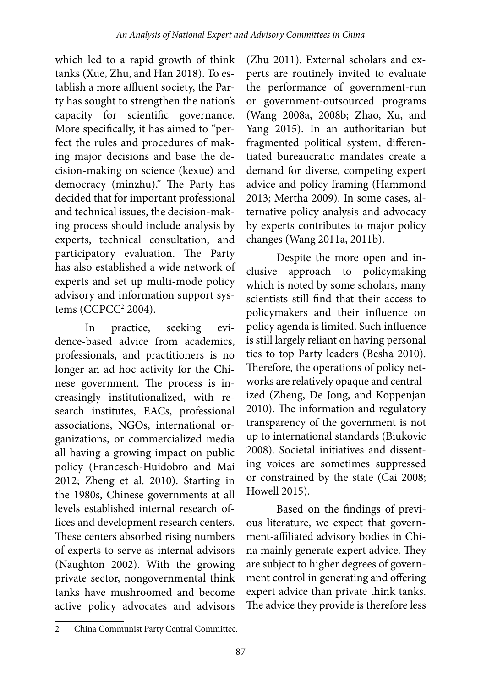which led to a rapid growth of think tanks (Xue, Zhu, and Han 2018). To establish a more affluent society, the Party has sought to strengthen the nation's capacity for scientific governance. More specifically, it has aimed to "perfect the rules and procedures of making major decisions and base the decision-making on science (kexue) and democracy (minzhu)." The Party has decided that for important professional and technical issues, the decision-making process should include analysis by experts, technical consultation, and participatory evaluation. The Party has also established a wide network of experts and set up multi-mode policy advisory and information support systems (CCPCC2 2004).

In practice, seeking evidence-based advice from academics, professionals, and practitioners is no longer an ad hoc activity for the Chinese government. The process is increasingly institutionalized, with research institutes, EACs, professional associations, NGOs, international organizations, or commercialized media all having a growing impact on public policy (Francesch-Huidobro and Mai 2012; Zheng et al. 2010). Starting in the 1980s, Chinese governments at all levels established internal research offices and development research centers. These centers absorbed rising numbers of experts to serve as internal advisors (Naughton 2002). With the growing private sector, nongovernmental think tanks have mushroomed and become active policy advocates and advisors

(Zhu 2011). External scholars and experts are routinely invited to evaluate the performance of government-run or government-outsourced programs (Wang 2008a, 2008b; Zhao, Xu, and Yang 2015). In an authoritarian but fragmented political system, differentiated bureaucratic mandates create a demand for diverse, competing expert advice and policy framing (Hammond 2013; Mertha 2009). In some cases, alternative policy analysis and advocacy by experts contributes to major policy changes (Wang 2011a, 2011b).

Despite the more open and inclusive approach to policymaking which is noted by some scholars, many scientists still find that their access to policymakers and their influence on policy agenda is limited. Such influence is still largely reliant on having personal ties to top Party leaders (Besha 2010). Therefore, the operations of policy networks are relatively opaque and centralized (Zheng, De Jong, and Koppenjan 2010). The information and regulatory transparency of the government is not up to international standards (Biukovic 2008). Societal initiatives and dissenting voices are sometimes suppressed or constrained by the state (Cai 2008; Howell 2015).

Based on the findings of previous literature, we expect that government-affiliated advisory bodies in China mainly generate expert advice. They are subject to higher degrees of government control in generating and offering expert advice than private think tanks. The advice they provide is therefore less

<sup>2</sup> China Communist Party Central Committee.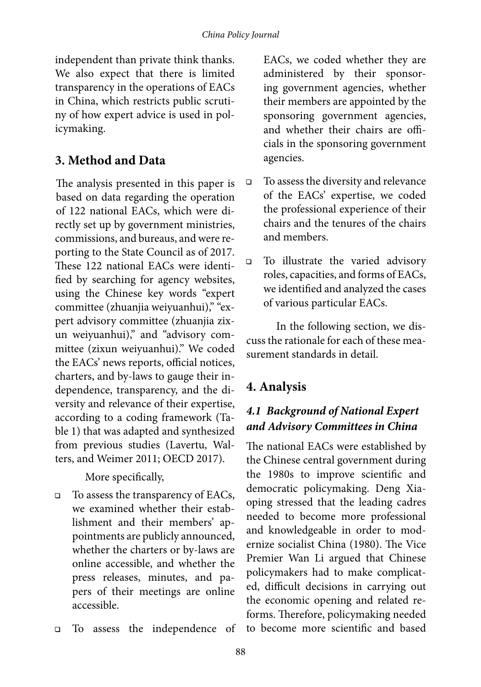independent than private think thanks. We also expect that there is limited transparency in the operations of EACs in China, which restricts public scrutiny of how expert advice is used in policymaking.

## **3. Method and Data**

The analysis presented in this paper is based on data regarding the operation of 122 national EACs, which were directly set up by government ministries, commissions, and bureaus, and were reporting to the State Council as of 2017. These 122 national EACs were identified by searching for agency websites, using the Chinese key words "expert committee (zhuanjia weiyuanhui)," "expert advisory committee (zhuanjia zixun weiyuanhui)," and "advisory committee (zixun weiyuanhui)." We coded the EACs' news reports, official notices, charters, and by-laws to gauge their independence, transparency, and the diversity and relevance of their expertise, according to a coding framework (Table 1) that was adapted and synthesized from previous studies (Lavertu, Walters, and Weimer 2011; OECD 2017).

More specifically,

- $\Box$  To assess the transparency of EACs, we examined whether their establishment and their members' appointments are publicly announced, whether the charters or by-laws are online accessible, and whether the press releases, minutes, and papers of their meetings are online accessible.
- To assess the independence of

EACs, we coded whether they are administered by their sponsoring government agencies, whether their members are appointed by the sponsoring government agencies, and whether their chairs are officials in the sponsoring government agencies.

- To assess the diversity and relevance of the EACs' expertise, we coded the professional experience of their chairs and the tenures of the chairs and members.
- To illustrate the varied advisory roles, capacities, and forms of EACs, we identified and analyzed the cases of various particular EACs.

In the following section, we discuss the rationale for each of these measurement standards in detail.

## **4. Analysis**

## *4.1 Background of National Expert and Advisory Committees in China*

The national EACs were established by the Chinese central government during the 1980s to improve scientific and democratic policymaking. Deng Xiaoping stressed that the leading cadres needed to become more professional and knowledgeable in order to modernize socialist China (1980). The Vice Premier Wan Li argued that Chinese policymakers had to make complicated, difficult decisions in carrying out the economic opening and related reforms. Therefore, policymaking needed to become more scientific and based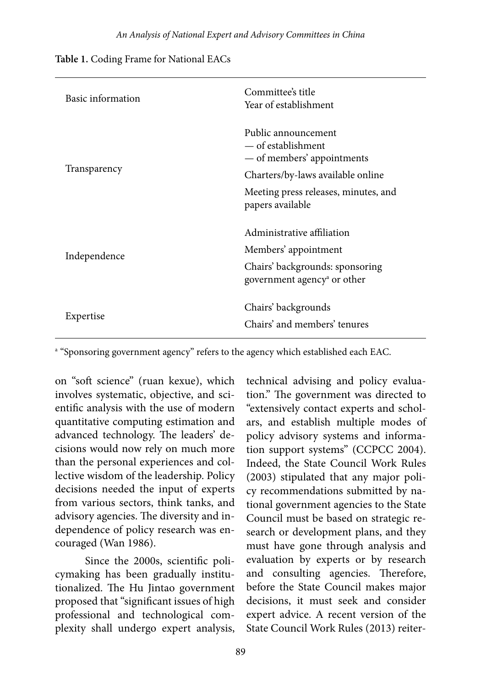| Basic information | Committee's title<br>Year of establishment                                 |
|-------------------|----------------------------------------------------------------------------|
|                   | Public announcement<br>— of establishment<br>— of members' appointments    |
| Transparency      | Charters/by-laws available online                                          |
|                   | Meeting press releases, minutes, and<br>papers available                   |
|                   | Administrative affiliation                                                 |
| Independence      | Members' appointment                                                       |
|                   | Chairs' backgrounds: sponsoring<br>government agency <sup>a</sup> or other |
| Expertise         | Chairs' backgrounds<br>Chairs' and members' tenures                        |

a "Sponsoring government agency" refers to the agency which established each EAC.

on "soft science" (ruan kexue), which involves systematic, objective, and scientific analysis with the use of modern quantitative computing estimation and advanced technology. The leaders' decisions would now rely on much more than the personal experiences and collective wisdom of the leadership. Policy decisions needed the input of experts from various sectors, think tanks, and advisory agencies. The diversity and independence of policy research was encouraged (Wan 1986).

Since the 2000s, scientific policymaking has been gradually institutionalized. The Hu Jintao government proposed that "significant issues of high professional and technological complexity shall undergo expert analysis, technical advising and policy evaluation." The government was directed to "extensively contact experts and scholars, and establish multiple modes of policy advisory systems and information support systems" (CCPCC 2004). Indeed, the State Council Work Rules (2003) stipulated that any major policy recommendations submitted by national government agencies to the State Council must be based on strategic research or development plans, and they must have gone through analysis and evaluation by experts or by research and consulting agencies. Therefore, before the State Council makes major decisions, it must seek and consider expert advice. A recent version of the State Council Work Rules (2013) reiter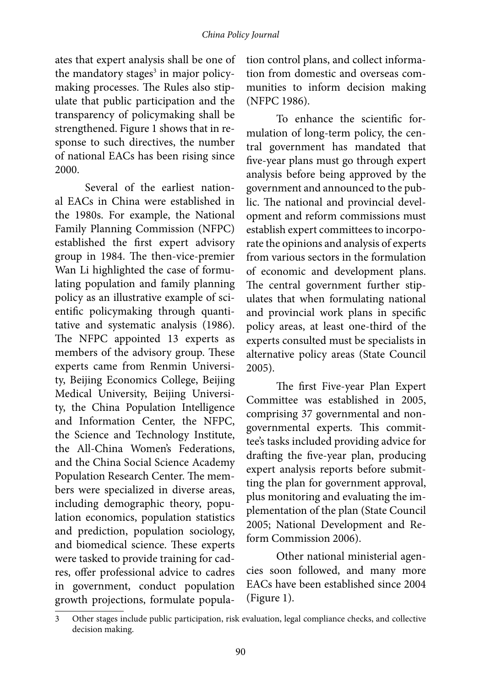ates that expert analysis shall be one of the mandatory stages<sup>3</sup> in major policymaking processes. The Rules also stipulate that public participation and the transparency of policymaking shall be strengthened. Figure 1 shows that in response to such directives, the number of national EACs has been rising since 2000.

Several of the earliest national EACs in China were established in the 1980s. For example, the National Family Planning Commission (NFPC) established the first expert advisory group in 1984. The then-vice-premier Wan Li highlighted the case of formulating population and family planning policy as an illustrative example of scientific policymaking through quantitative and systematic analysis (1986). The NFPC appointed 13 experts as members of the advisory group. These experts came from Renmin University, Beijing Economics College, Beijing Medical University, Beijing University, the China Population Intelligence and Information Center, the NFPC, the Science and Technology Institute, the All-China Women's Federations, and the China Social Science Academy Population Research Center. The members were specialized in diverse areas, including demographic theory, population economics, population statistics and prediction, population sociology, and biomedical science. These experts were tasked to provide training for cadres, offer professional advice to cadres in government, conduct population growth projections, formulate population control plans, and collect information from domestic and overseas communities to inform decision making (NFPC 1986).

To enhance the scientific formulation of long-term policy, the central government has mandated that five-year plans must go through expert analysis before being approved by the government and announced to the public. The national and provincial development and reform commissions must establish expert committees to incorporate the opinions and analysis of experts from various sectors in the formulation of economic and development plans. The central government further stipulates that when formulating national and provincial work plans in specific policy areas, at least one-third of the experts consulted must be specialists in alternative policy areas (State Council 2005).

The first Five-year Plan Expert Committee was established in 2005, comprising 37 governmental and nongovernmental experts. This committee's tasks included providing advice for drafting the five-year plan, producing expert analysis reports before submitting the plan for government approval, plus monitoring and evaluating the implementation of the plan (State Council 2005; National Development and Reform Commission 2006).

Other national ministerial agencies soon followed, and many more EACs have been established since 2004 (Figure 1).

<sup>3</sup> Other stages include public participation, risk evaluation, legal compliance checks, and collective decision making.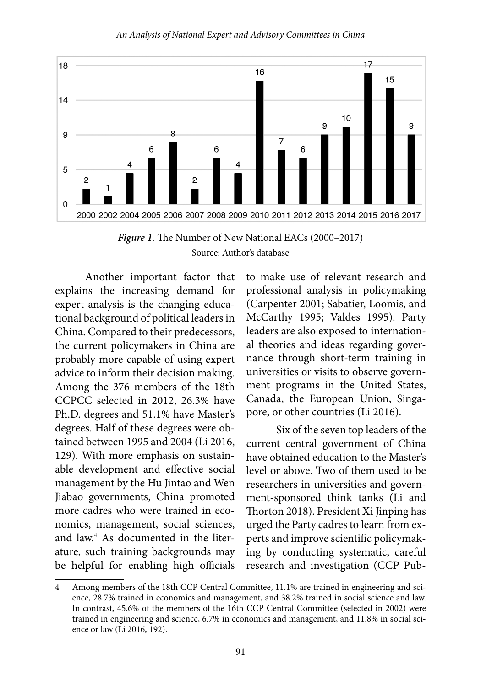

*Figure 1.* The Number of New National EACs (2000–2017) Source: Author's database

Another important factor that explains the increasing demand for expert analysis is the changing educational background of political leaders in China. Compared to their predecessors, the current policymakers in China are probably more capable of using expert advice to inform their decision making. Among the 376 members of the 18th CCPCC selected in 2012, 26.3% have Ph.D. degrees and 51.1% have Master's degrees. Half of these degrees were obtained between 1995 and 2004 (Li 2016, 129). With more emphasis on sustainable development and effective social management by the Hu Jintao and Wen Jiabao governments, China promoted more cadres who were trained in economics, management, social sciences, and law.4 As documented in the literature, such training backgrounds may be helpful for enabling high officials

to make use of relevant research and professional analysis in policymaking (Carpenter 2001; Sabatier, Loomis, and McCarthy 1995; Valdes 1995). Party leaders are also exposed to international theories and ideas regarding governance through short-term training in universities or visits to observe government programs in the United States, Canada, the European Union, Singapore, or other countries (Li 2016).

Six of the seven top leaders of the current central government of China have obtained education to the Master's level or above. Two of them used to be researchers in universities and government-sponsored think tanks (Li and Thorton 2018). President Xi Jinping has urged the Party cadres to learn from experts and improve scientific policymaking by conducting systematic, careful research and investigation (CCP Pub-

<sup>4</sup> Among members of the 18th CCP Central Committee, 11.1% are trained in engineering and science, 28.7% trained in economics and management, and 38.2% trained in social science and law. In contrast, 45.6% of the members of the 16th CCP Central Committee (selected in 2002) were trained in engineering and science, 6.7% in economics and management, and 11.8% in social science or law (Li 2016, 192).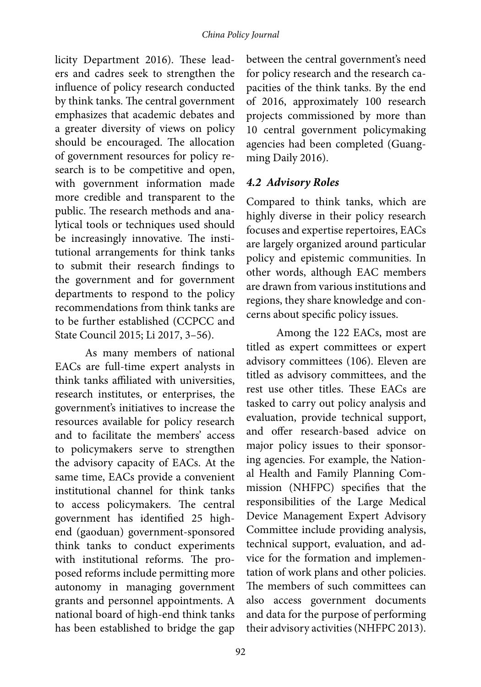licity Department 2016). These leaders and cadres seek to strengthen the influence of policy research conducted by think tanks. The central government emphasizes that academic debates and a greater diversity of views on policy should be encouraged. The allocation of government resources for policy research is to be competitive and open, with government information made more credible and transparent to the public. The research methods and analytical tools or techniques used should be increasingly innovative. The institutional arrangements for think tanks to submit their research findings to the government and for government departments to respond to the policy recommendations from think tanks are to be further established (CCPCC and State Council 2015; Li 2017, 3–56).

As many members of national EACs are full-time expert analysts in think tanks affiliated with universities, research institutes, or enterprises, the government's initiatives to increase the resources available for policy research and to facilitate the members' access to policymakers serve to strengthen the advisory capacity of EACs. At the same time, EACs provide a convenient institutional channel for think tanks to access policymakers. The central government has identified 25 highend (gaoduan) government-sponsored think tanks to conduct experiments with institutional reforms. The proposed reforms include permitting more autonomy in managing government grants and personnel appointments. A national board of high-end think tanks has been established to bridge the gap

between the central government's need for policy research and the research capacities of the think tanks. By the end of 2016, approximately 100 research projects commissioned by more than 10 central government policymaking agencies had been completed (Guangming Daily 2016).

#### *4.2 Advisory Roles*

Compared to think tanks, which are highly diverse in their policy research focuses and expertise repertoires, EACs are largely organized around particular policy and epistemic communities. In other words, although EAC members are drawn from various institutions and regions, they share knowledge and concerns about specific policy issues.

Among the 122 EACs, most are titled as expert committees or expert advisory committees (106). Eleven are titled as advisory committees, and the rest use other titles. These EACs are tasked to carry out policy analysis and evaluation, provide technical support, and offer research-based advice on major policy issues to their sponsoring agencies. For example, the National Health and Family Planning Commission (NHFPC) specifies that the responsibilities of the Large Medical Device Management Expert Advisory Committee include providing analysis, technical support, evaluation, and advice for the formation and implementation of work plans and other policies. The members of such committees can also access government documents and data for the purpose of performing their advisory activities (NHFPC 2013).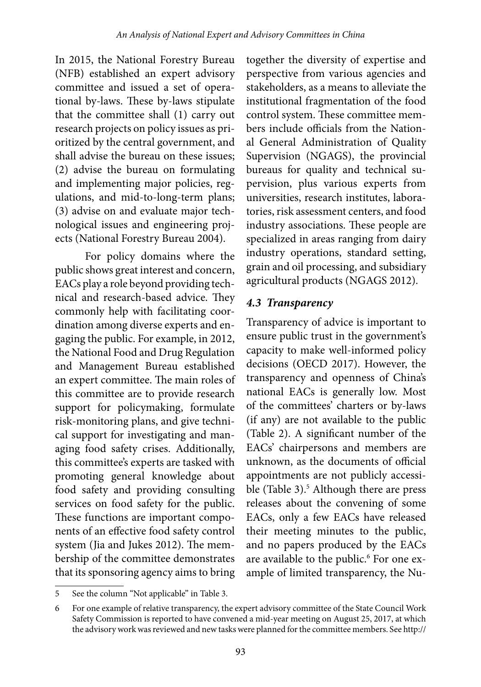In 2015, the National Forestry Bureau (NFB) established an expert advisory committee and issued a set of operational by-laws. These by-laws stipulate that the committee shall (1) carry out research projects on policy issues as prioritized by the central government, and shall advise the bureau on these issues; (2) advise the bureau on formulating and implementing major policies, regulations, and mid-to-long-term plans; (3) advise on and evaluate major technological issues and engineering projects (National Forestry Bureau 2004).

For policy domains where the public shows great interest and concern, EACs play a role beyond providing technical and research-based advice. They commonly help with facilitating coordination among diverse experts and engaging the public. For example, in 2012, the National Food and Drug Regulation and Management Bureau established an expert committee. The main roles of this committee are to provide research support for policymaking, formulate risk-monitoring plans, and give technical support for investigating and managing food safety crises. Additionally, this committee's experts are tasked with promoting general knowledge about food safety and providing consulting services on food safety for the public. These functions are important components of an effective food safety control system (Jia and Jukes 2012). The membership of the committee demonstrates that its sponsoring agency aims to bring

together the diversity of expertise and perspective from various agencies and stakeholders, as a means to alleviate the institutional fragmentation of the food control system. These committee members include officials from the National General Administration of Quality Supervision (NGAGS), the provincial bureaus for quality and technical supervision, plus various experts from universities, research institutes, laboratories, risk assessment centers, and food industry associations. These people are specialized in areas ranging from dairy industry operations, standard setting, grain and oil processing, and subsidiary agricultural products (NGAGS 2012).

#### *4.3 Transparency*

Transparency of advice is important to ensure public trust in the government's capacity to make well-informed policy decisions (OECD 2017). However, the transparency and openness of China's national EACs is generally low. Most of the committees' charters or by-laws (if any) are not available to the public (Table 2). A significant number of the EACs' chairpersons and members are unknown, as the documents of official appointments are not publicly accessible (Table 3).<sup>5</sup> Although there are press releases about the convening of some EACs, only a few EACs have released their meeting minutes to the public, and no papers produced by the EACs are available to the public.<sup>6</sup> For one example of limited transparency, the Nu-

<sup>5</sup> See the column "Not applicable" in Table 3.

<sup>6</sup> For one example of relative transparency, the expert advisory committee of the State Council Work Safety Commission is reported to have convened a mid-year meeting on August 25, 2017, at which the advisory work was reviewed and new tasks were planned for the committee members. See http://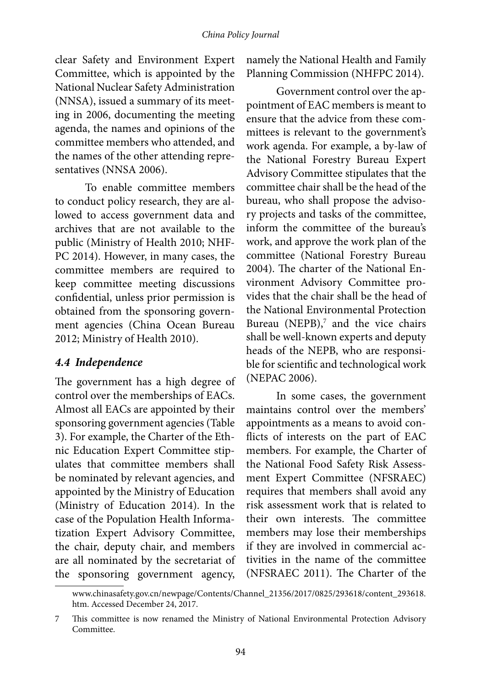#### *China Policy Journal*

clear Safety and Environment Expert Committee, which is appointed by the National Nuclear Safety Administration (NNSA), issued a summary of its meeting in 2006, documenting the meeting agenda, the names and opinions of the committee members who attended, and the names of the other attending representatives (NNSA 2006).

To enable committee members to conduct policy research, they are allowed to access government data and archives that are not available to the public (Ministry of Health 2010; NHF-PC 2014). However, in many cases, the committee members are required to keep committee meeting discussions confidential, unless prior permission is obtained from the sponsoring government agencies (China Ocean Bureau 2012; Ministry of Health 2010).

#### *4.4 Independence*

The government has a high degree of control over the memberships of EACs. Almost all EACs are appointed by their sponsoring government agencies (Table 3). For example, the Charter of the Ethnic Education Expert Committee stipulates that committee members shall be nominated by relevant agencies, and appointed by the Ministry of Education (Ministry of Education 2014). In the case of the Population Health Informatization Expert Advisory Committee, the chair, deputy chair, and members are all nominated by the secretariat of the sponsoring government agency,

namely the National Health and Family Planning Commission (NHFPC 2014).

Government control over the appointment of EAC members is meant to ensure that the advice from these committees is relevant to the government's work agenda. For example, a by-law of the National Forestry Bureau Expert Advisory Committee stipulates that the committee chair shall be the head of the bureau, who shall propose the advisory projects and tasks of the committee, inform the committee of the bureau's work, and approve the work plan of the committee (National Forestry Bureau 2004). The charter of the National Environment Advisory Committee provides that the chair shall be the head of the National Environmental Protection Bureau (NEPB), $^7$  and the vice chairs shall be well-known experts and deputy heads of the NEPB, who are responsible for scientific and technological work (NEPAC 2006).

In some cases, the government maintains control over the members' appointments as a means to avoid conflicts of interests on the part of EAC members. For example, the Charter of the National Food Safety Risk Assessment Expert Committee (NFSRAEC) requires that members shall avoid any risk assessment work that is related to their own interests. The committee members may lose their memberships if they are involved in commercial activities in the name of the committee (NFSRAEC 2011). The Charter of the

www.chinasafety.gov.cn/newpage/Contents/Channel\_21356/2017/0825/293618/content\_293618. htm. Accessed December 24, 2017.

<sup>7</sup> This committee is now renamed the Ministry of National Environmental Protection Advisory Committee.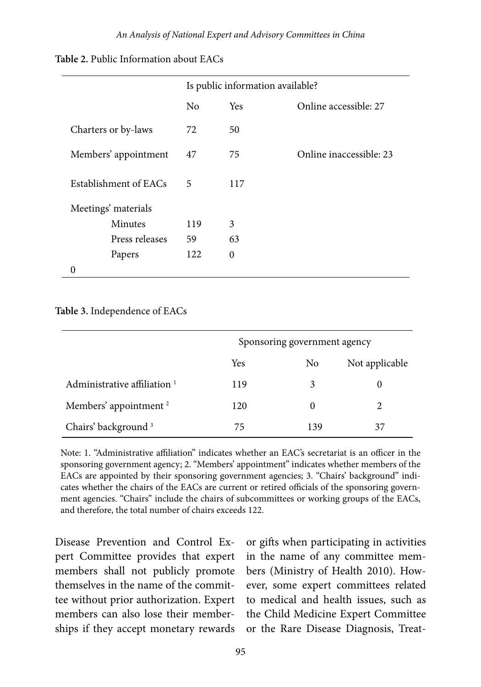|                       |                |            | Is public information available? |
|-----------------------|----------------|------------|----------------------------------|
|                       | N <sub>0</sub> | <b>Yes</b> | Online accessible: 27            |
| Charters or by-laws   | 72             | 50         |                                  |
| Members' appointment  | 47             | 75         | Online inaccessible: 23          |
| Establishment of EACs | 5              | 117        |                                  |
| Meetings' materials   |                |            |                                  |
| Minutes               | 119            | 3          |                                  |
| Press releases        | 59             | 63         |                                  |
| Papers                | 122            | $\theta$   |                                  |
|                       |                |            |                                  |

**Table 2.** Public Information about EACs

#### **Table 3.** Independence of EACs

|                                         |     | Sponsoring government agency |                |
|-----------------------------------------|-----|------------------------------|----------------|
|                                         | Yes | N <sub>o</sub>               | Not applicable |
| Administrative affiliation <sup>1</sup> | 119 | 3                            |                |
| Members' appointment <sup>2</sup>       | 120 | 0                            | 2              |
| Chairs' background <sup>3</sup>         | 75  | 139                          | 37             |

Note: 1. "Administrative affiliation" indicates whether an EAC's secretariat is an officer in the sponsoring government agency; 2. "Members' appointment" indicates whether members of the EACs are appointed by their sponsoring government agencies; 3. "Chairs' background" indicates whether the chairs of the EACs are current or retired officials of the sponsoring government agencies. "Chairs" include the chairs of subcommittees or working groups of the EACs, and therefore, the total number of chairs exceeds 122.

Disease Prevention and Control Expert Committee provides that expert members shall not publicly promote themselves in the name of the committee without prior authorization. Expert members can also lose their memberships if they accept monetary rewards or gifts when participating in activities in the name of any committee members (Ministry of Health 2010). However, some expert committees related to medical and health issues, such as the Child Medicine Expert Committee or the Rare Disease Diagnosis, Treat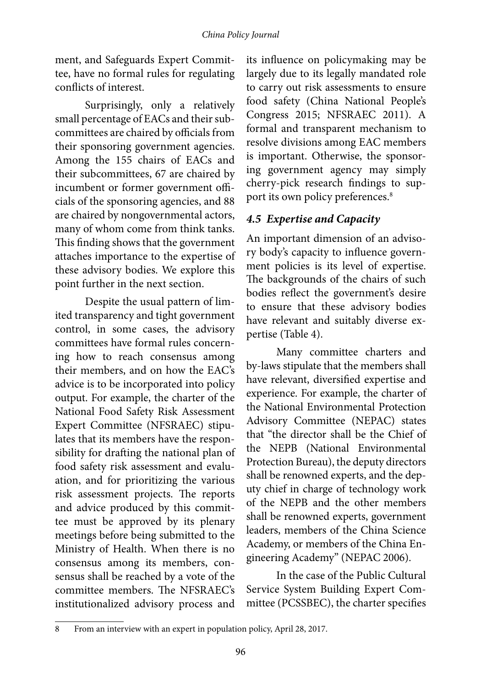ment, and Safeguards Expert Committee, have no formal rules for regulating conflicts of interest.

Surprisingly, only a relatively small percentage of EACs and their subcommittees are chaired by officials from their sponsoring government agencies. Among the 155 chairs of EACs and their subcommittees, 67 are chaired by incumbent or former government officials of the sponsoring agencies, and 88 are chaired by nongovernmental actors, many of whom come from think tanks. This finding shows that the government attaches importance to the expertise of these advisory bodies. We explore this point further in the next section.

Despite the usual pattern of limited transparency and tight government control, in some cases, the advisory committees have formal rules concerning how to reach consensus among their members, and on how the EAC's advice is to be incorporated into policy output. For example, the charter of the National Food Safety Risk Assessment Expert Committee (NFSRAEC) stipulates that its members have the responsibility for drafting the national plan of food safety risk assessment and evaluation, and for prioritizing the various risk assessment projects. The reports and advice produced by this committee must be approved by its plenary meetings before being submitted to the Ministry of Health. When there is no consensus among its members, consensus shall be reached by a vote of the committee members. The NFSRAEC's institutionalized advisory process and

its influence on policymaking may be largely due to its legally mandated role to carry out risk assessments to ensure food safety (China National People's Congress 2015; NFSRAEC 2011). A formal and transparent mechanism to resolve divisions among EAC members is important. Otherwise, the sponsoring government agency may simply cherry-pick research findings to support its own policy preferences.<sup>8</sup>

## *4.5 Expertise and Capacity*

An important dimension of an advisory body's capacity to influence government policies is its level of expertise. The backgrounds of the chairs of such bodies reflect the government's desire to ensure that these advisory bodies have relevant and suitably diverse expertise (Table 4).

Many committee charters and by-laws stipulate that the members shall have relevant, diversified expertise and experience. For example, the charter of the National Environmental Protection Advisory Committee (NEPAC) states that "the director shall be the Chief of the NEPB (National Environmental Protection Bureau), the deputy directors shall be renowned experts, and the deputy chief in charge of technology work of the NEPB and the other members shall be renowned experts, government leaders, members of the China Science Academy, or members of the China Engineering Academy" (NEPAC 2006).

In the case of the Public Cultural Service System Building Expert Committee (PCSSBEC), the charter specifies

<sup>8</sup> From an interview with an expert in population policy, April 28, 2017.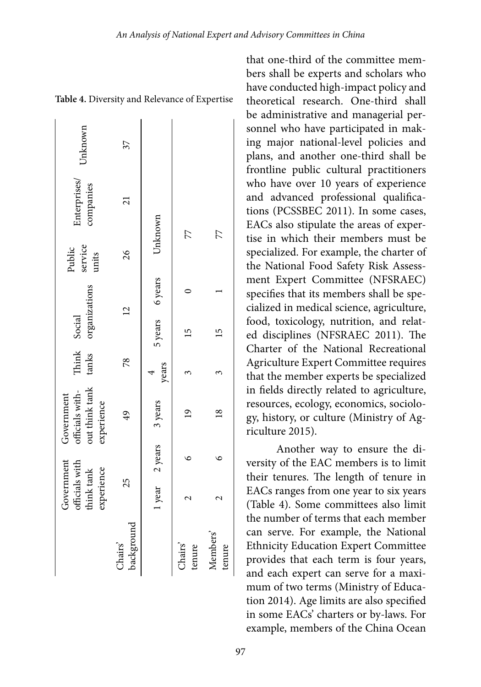| Government<br>officials with<br>think tank<br>experience | out think tank<br>Government<br>officials with-<br>experience | Think<br>tanks       | organizations<br>Social | Public<br>service<br>units | interprises/<br>companies | Unknown |
|----------------------------------------------------------|---------------------------------------------------------------|----------------------|-------------------------|----------------------------|---------------------------|---------|
| 25                                                       | $\overline{6}$                                                | 78                   | $\overline{2}$          | $\frac{26}{5}$             | $\overline{21}$           | 37      |
|                                                          | 1 year 2 years 3 years                                        | $\frac{4}{\sqrt{2}}$ | 5 years 6 years         | Unknown                    |                           |         |
|                                                          | $\frac{1}{2}$                                                 |                      |                         | 77                         |                           |         |
|                                                          | $^{8}$                                                        |                      |                         | 77                         |                           |         |

**Table 4.** Diversity and Relevance of Expertise

that one-third of the committee members shall be experts and scholars who have conducted high-impact policy and theoretical research. One-third shall be administrative and managerial personnel who have participated in making major national-level policies and plans, and another one-third shall be frontline public cultural practitioners who have over 10 years of experience and advanced professional qualifications (PCSSBEC 2011). In some cases, EACs also stipulate the areas of expertise in which their members must be specialized. For example, the charter of the National Food Safety Risk Assessment Expert Committee (NFSRAEC) specifies that its members shall be specialized in medical science, agriculture, food, toxicology, nutrition, and related disciplines (NFSRAEC 2011). The Charter of the National Recreational Agriculture Expert Committee requires that the member experts be specialized in fields directly related to agriculture, resources, ecology, economics, sociology, history, or culture (Ministry of Agriculture 2015).

Another way to ensure the diversity of the EAC members is to limit their tenures. The length of tenure in EACs ranges from one year to six years (Table 4). Some committees also limit the number of terms that each member can serve. For example, the National Ethnicity Education Expert Committee provides that each term is four years, and each expert can serve for a maximum of two terms (Ministry of Education 2014). Age limits are also specified in some EACs' charters or by-laws. For example, members of the China Ocean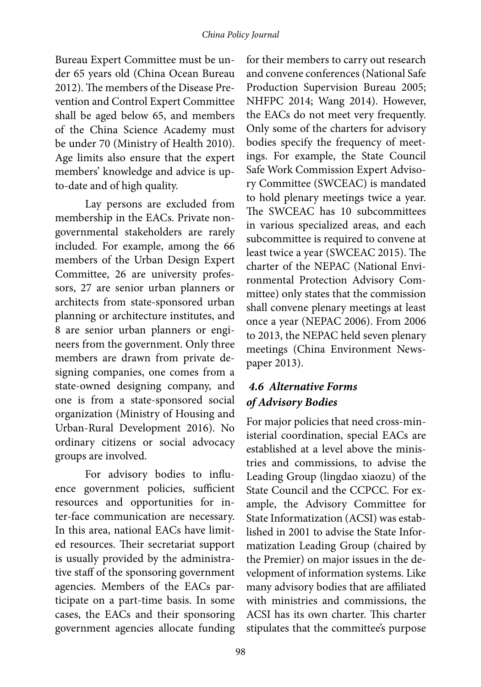#### *China Policy Journal*

Bureau Expert Committee must be under 65 years old (China Ocean Bureau 2012). The members of the Disease Prevention and Control Expert Committee shall be aged below 65, and members of the China Science Academy must be under 70 (Ministry of Health 2010). Age limits also ensure that the expert members' knowledge and advice is upto-date and of high quality.

Lay persons are excluded from membership in the EACs. Private nongovernmental stakeholders are rarely included. For example, among the 66 members of the Urban Design Expert Committee, 26 are university professors, 27 are senior urban planners or architects from state-sponsored urban planning or architecture institutes, and 8 are senior urban planners or engineers from the government. Only three members are drawn from private designing companies, one comes from a state-owned designing company, and one is from a state-sponsored social organization (Ministry of Housing and Urban-Rural Development 2016). No ordinary citizens or social advocacy groups are involved.

For advisory bodies to influence government policies, sufficient resources and opportunities for inter-face communication are necessary. In this area, national EACs have limited resources. Their secretariat support is usually provided by the administrative staff of the sponsoring government agencies. Members of the EACs participate on a part-time basis. In some cases, the EACs and their sponsoring government agencies allocate funding

for their members to carry out research and convene conferences (National Safe Production Supervision Bureau 2005; NHFPC 2014; Wang 2014). However, the EACs do not meet very frequently. Only some of the charters for advisory bodies specify the frequency of meetings. For example, the State Council Safe Work Commission Expert Advisory Committee (SWCEAC) is mandated to hold plenary meetings twice a year. The SWCEAC has 10 subcommittees in various specialized areas, and each subcommittee is required to convene at least twice a year (SWCEAC 2015). The charter of the NEPAC (National Environmental Protection Advisory Committee) only states that the commission shall convene plenary meetings at least once a year (NEPAC 2006). From 2006 to 2013, the NEPAC held seven plenary meetings (China Environment Newspaper 2013).

#### *4.6 Alternative Forms of Advisory Bodies*

For major policies that need cross-ministerial coordination, special EACs are established at a level above the ministries and commissions, to advise the Leading Group (lingdao xiaozu) of the State Council and the CCPCC. For example, the Advisory Committee for State Informatization (ACSI) was established in 2001 to advise the State Informatization Leading Group (chaired by the Premier) on major issues in the development of information systems. Like many advisory bodies that are affiliated with ministries and commissions, the ACSI has its own charter. This charter stipulates that the committee's purpose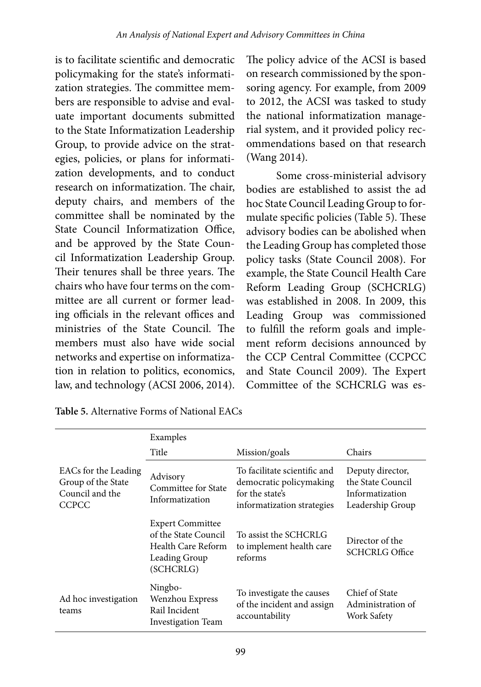is to facilitate scientific and democratic policymaking for the state's informatization strategies. The committee members are responsible to advise and evaluate important documents submitted to the State Informatization Leadership Group, to provide advice on the strategies, policies, or plans for informatization developments, and to conduct research on informatization. The chair, deputy chairs, and members of the committee shall be nominated by the State Council Informatization Office, and be approved by the State Council Informatization Leadership Group. Their tenures shall be three years. The chairs who have four terms on the committee are all current or former leading officials in the relevant offices and ministries of the State Council. The members must also have wide social networks and expertise on informatization in relation to politics, economics, law, and technology (ACSI 2006, 2014).

The policy advice of the ACSI is based on research commissioned by the sponsoring agency. For example, from 2009 to 2012, the ACSI was tasked to study the national informatization managerial system, and it provided policy recommendations based on that research (Wang 2014).

Some cross-ministerial advisory bodies are established to assist the ad hoc State Council Leading Group to formulate specific policies (Table 5). These advisory bodies can be abolished when the Leading Group has completed those policy tasks (State Council 2008). For example, the State Council Health Care Reform Leading Group (SCHCRLG) was established in 2008. In 2009, this Leading Group was commissioned to fulfill the reform goals and implement reform decisions announced by the CCP Central Committee (CCPCC and State Council 2009). The Expert Committee of the SCHCRLG was es-

|                                                                               | Examples                                                                                            |                                                                                                          |                                                                              |  |
|-------------------------------------------------------------------------------|-----------------------------------------------------------------------------------------------------|----------------------------------------------------------------------------------------------------------|------------------------------------------------------------------------------|--|
|                                                                               | Title                                                                                               | Mission/goals                                                                                            | Chairs                                                                       |  |
| EACs for the Leading<br>Group of the State<br>Council and the<br><b>CCPCC</b> | Advisory<br>Committee for State<br>Informatization                                                  | To facilitate scientific and<br>democratic policymaking<br>for the state's<br>informatization strategies | Deputy director,<br>the State Council<br>Informatization<br>Leadership Group |  |
|                                                                               | <b>Expert Committee</b><br>of the State Council<br>Health Care Reform<br>Leading Group<br>(SCHCRLG) | To assist the SCHCRLG<br>to implement health care<br>reforms                                             | Director of the<br><b>SCHCRLG Office</b>                                     |  |
| Ad hoc investigation<br>teams                                                 | Ningbo-<br>Wenzhou Express<br>Rail Incident<br><b>Investigation Team</b>                            | To investigate the causes<br>of the incident and assign<br>accountability                                | Chief of State<br>Administration of<br>Work Safety                           |  |

|  | Table 5. Alternative Forms of National EACs |  |  |  |
|--|---------------------------------------------|--|--|--|
|--|---------------------------------------------|--|--|--|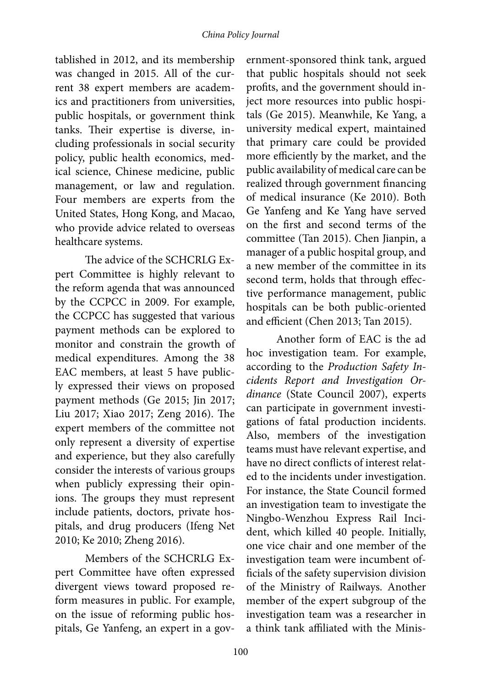tablished in 2012, and its membership was changed in 2015. All of the current 38 expert members are academics and practitioners from universities, public hospitals, or government think tanks. Their expertise is diverse, including professionals in social security policy, public health economics, medical science, Chinese medicine, public management, or law and regulation. Four members are experts from the United States, Hong Kong, and Macao, who provide advice related to overseas healthcare systems.

The advice of the SCHCRLG Expert Committee is highly relevant to the reform agenda that was announced by the CCPCC in 2009. For example, the CCPCC has suggested that various payment methods can be explored to monitor and constrain the growth of medical expenditures. Among the 38 EAC members, at least 5 have publicly expressed their views on proposed payment methods (Ge 2015; Jin 2017; Liu 2017; Xiao 2017; Zeng 2016). The expert members of the committee not only represent a diversity of expertise and experience, but they also carefully consider the interests of various groups when publicly expressing their opinions. The groups they must represent include patients, doctors, private hospitals, and drug producers (Ifeng Net 2010; Ke 2010; Zheng 2016).

Members of the SCHCRLG Expert Committee have often expressed divergent views toward proposed reform measures in public. For example, on the issue of reforming public hospitals, Ge Yanfeng, an expert in a gov-

ernment-sponsored think tank, argued that public hospitals should not seek profits, and the government should inject more resources into public hospitals (Ge 2015). Meanwhile, Ke Yang, a university medical expert, maintained that primary care could be provided more efficiently by the market, and the public availability of medical care can be realized through government financing of medical insurance (Ke 2010). Both Ge Yanfeng and Ke Yang have served on the first and second terms of the committee (Tan 2015). Chen Jianpin, a manager of a public hospital group, and a new member of the committee in its second term, holds that through effective performance management, public hospitals can be both public-oriented and efficient (Chen 2013; Tan 2015).

Another form of EAC is the ad hoc investigation team. For example, according to the *Production Safety Incidents Report and Investigation Ordinance* (State Council 2007), experts can participate in government investigations of fatal production incidents. Also, members of the investigation teams must have relevant expertise, and have no direct conflicts of interest related to the incidents under investigation. For instance, the State Council formed an investigation team to investigate the Ningbo-Wenzhou Express Rail Incident, which killed 40 people. Initially, one vice chair and one member of the investigation team were incumbent officials of the safety supervision division of the Ministry of Railways. Another member of the expert subgroup of the investigation team was a researcher in a think tank affiliated with the Minis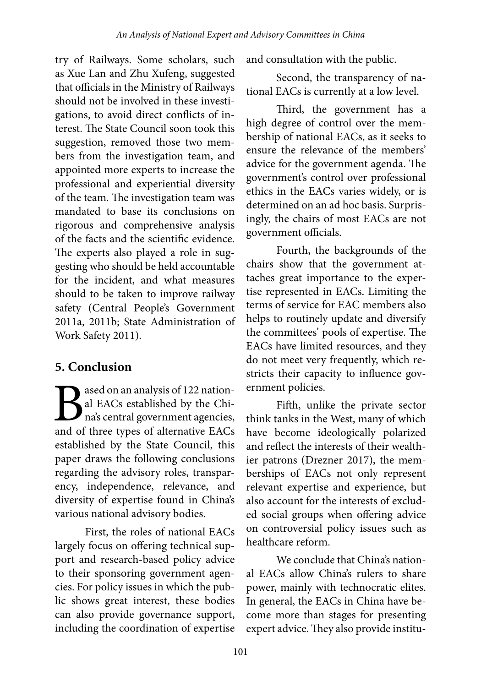try of Railways. Some scholars, such as Xue Lan and Zhu Xufeng, suggested that officials in the Ministry of Railways should not be involved in these investigations, to avoid direct conflicts of interest. The State Council soon took this suggestion, removed those two members from the investigation team, and appointed more experts to increase the professional and experiential diversity of the team. The investigation team was mandated to base its conclusions on rigorous and comprehensive analysis of the facts and the scientific evidence. The experts also played a role in suggesting who should be held accountable for the incident, and what measures should to be taken to improve railway safety (Central People's Government 2011a, 2011b; State Administration of Work Safety 2011).

## **5. Conclusion**

**B** ased on an analysis of 122 nation-<br>al EACs established by the Chi-<br>na's central government agencies,<br>and of three types of alternative EACs al EACs established by the China's central government agencies, and of three types of alternative EACs established by the State Council, this paper draws the following conclusions regarding the advisory roles, transparency, independence, relevance, and diversity of expertise found in China's various national advisory bodies.

First, the roles of national EACs largely focus on offering technical support and research-based policy advice to their sponsoring government agencies. For policy issues in which the public shows great interest, these bodies can also provide governance support, including the coordination of expertise and consultation with the public.

Second, the transparency of national EACs is currently at a low level.

Third, the government has a high degree of control over the membership of national EACs, as it seeks to ensure the relevance of the members' advice for the government agenda. The government's control over professional ethics in the EACs varies widely, or is determined on an ad hoc basis. Surprisingly, the chairs of most EACs are not government officials.

Fourth, the backgrounds of the chairs show that the government attaches great importance to the expertise represented in EACs. Limiting the terms of service for EAC members also helps to routinely update and diversify the committees' pools of expertise. The EACs have limited resources, and they do not meet very frequently, which restricts their capacity to influence government policies.

Fifth, unlike the private sector think tanks in the West, many of which have become ideologically polarized and reflect the interests of their wealthier patrons (Drezner 2017), the memberships of EACs not only represent relevant expertise and experience, but also account for the interests of excluded social groups when offering advice on controversial policy issues such as healthcare reform.

We conclude that China's national EACs allow China's rulers to share power, mainly with technocratic elites. In general, the EACs in China have become more than stages for presenting expert advice. They also provide institu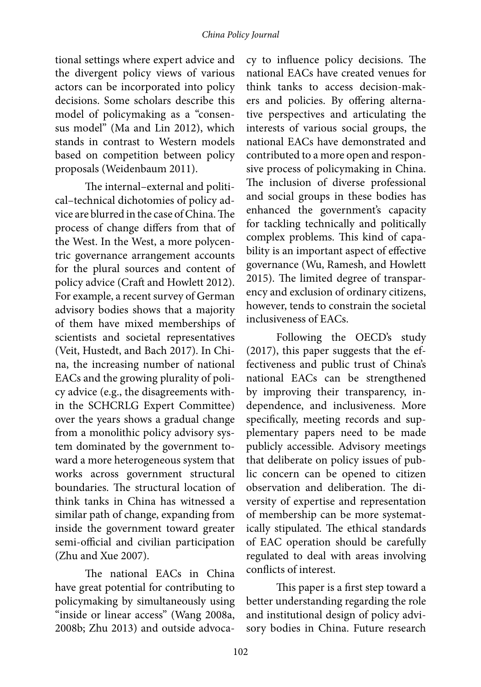tional settings where expert advice and the divergent policy views of various actors can be incorporated into policy decisions. Some scholars describe this model of policymaking as a "consensus model" (Ma and Lin 2012), which stands in contrast to Western models based on competition between policy proposals (Weidenbaum 2011).

The internal–external and political–technical dichotomies of policy advice are blurred in the case of China. The process of change differs from that of the West. In the West, a more polycentric governance arrangement accounts for the plural sources and content of policy advice (Craft and Howlett 2012). For example, a recent survey of German advisory bodies shows that a majority of them have mixed memberships of scientists and societal representatives (Veit, Hustedt, and Bach 2017). In China, the increasing number of national EACs and the growing plurality of policy advice (e.g., the disagreements within the SCHCRLG Expert Committee) over the years shows a gradual change from a monolithic policy advisory system dominated by the government toward a more heterogeneous system that works across government structural boundaries. The structural location of think tanks in China has witnessed a similar path of change, expanding from inside the government toward greater semi-official and civilian participation (Zhu and Xue 2007).

The national EACs in China have great potential for contributing to policymaking by simultaneously using "inside or linear access" (Wang 2008a, 2008b; Zhu 2013) and outside advoca-

cy to influence policy decisions. The national EACs have created venues for think tanks to access decision-makers and policies. By offering alternative perspectives and articulating the interests of various social groups, the national EACs have demonstrated and contributed to a more open and responsive process of policymaking in China. The inclusion of diverse professional and social groups in these bodies has enhanced the government's capacity for tackling technically and politically complex problems. This kind of capability is an important aspect of effective governance (Wu, Ramesh, and Howlett 2015). The limited degree of transparency and exclusion of ordinary citizens, however, tends to constrain the societal inclusiveness of EACs.

Following the OECD's study (2017), this paper suggests that the effectiveness and public trust of China's national EACs can be strengthened by improving their transparency, independence, and inclusiveness. More specifically, meeting records and supplementary papers need to be made publicly accessible. Advisory meetings that deliberate on policy issues of public concern can be opened to citizen observation and deliberation. The diversity of expertise and representation of membership can be more systematically stipulated. The ethical standards of EAC operation should be carefully regulated to deal with areas involving conflicts of interest.

This paper is a first step toward a better understanding regarding the role and institutional design of policy advisory bodies in China. Future research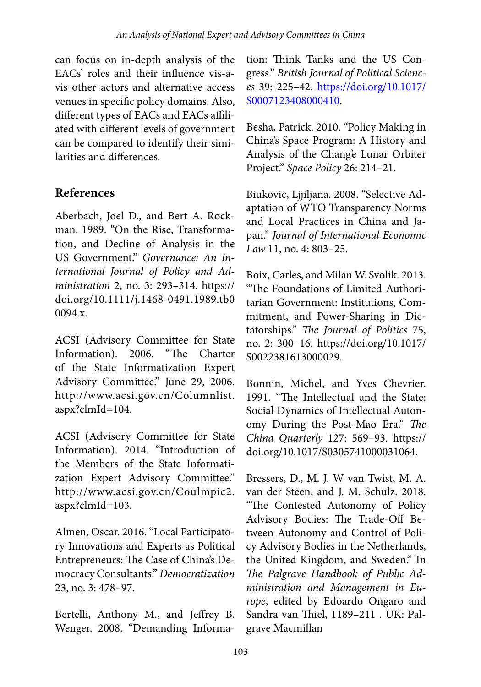can focus on in-depth analysis of the EACs' roles and their influence vis-avis other actors and alternative access venues in specific policy domains. Also, different types of EACs and EACs affiliated with different levels of government can be compared to identify their similarities and differences.

## **References**

Aberbach, Joel D., and Bert A. Rockman. 1989. "On the Rise, Transformation, and Decline of Analysis in the US Government." *Governance: An International Journal of Policy and Administration* 2, no. 3: 293–314. https:// doi.org/10.1111/j.1468-0491.1989.tb0 0094.x.

ACSI (Advisory Committee for State Information). 2006. "The Charter of the State Informatization Expert Advisory Committee." June 29, 2006. http://www.acsi.gov.cn/Columnlist. aspx?clmId=104.

ACSI (Advisory Committee for State Information). 2014. "Introduction of the Members of the State Informatization Expert Advisory Committee." http://www.acsi.gov.cn/Coulmpic2. aspx?clmId=103.

Almen, Oscar. 2016. "Local Participatory Innovations and Experts as Political Entrepreneurs: The Case of China's Democracy Consultants." *Democratization* 23, no. 3: 478–97.

Bertelli, Anthony M., and Jeffrey B. Wenger. 2008. "Demanding Information: Think Tanks and the US Congress." *British Journal of Political Sciences* 39: 225–42. [https://doi.org/10.1017/](https://doi.org/10.1017/S0007123408000410) [S0007123408000410.](https://doi.org/10.1017/S0007123408000410)

Besha, Patrick. 2010. "Policy Making in China's Space Program: A History and Analysis of the Chang'e Lunar Orbiter Project." *Space Policy* 26: 214–21.

Biukovic, Ljjiljana. 2008. "Selective Adaptation of WTO Transparency Norms and Local Practices in China and Japan." *Journal of International Economic Law* 11, no. 4: 803–25.

Boix, Carles, and Milan W. Svolik. 2013. "The Foundations of Limited Authoritarian Government: Institutions, Commitment, and Power-Sharing in Dictatorships." *The Journal of Politics* 75, no. 2: 300–16. https://doi.org/10.1017/ S0022381613000029.

Bonnin, Michel, and Yves Chevrier. 1991. "The Intellectual and the State: Social Dynamics of Intellectual Autonomy During the Post-Mao Era." *The China Quarterly* 127: 569–93. https:// doi.org/10.1017/S0305741000031064.

Bressers, D., M. J. W van Twist, M. A. van der Steen, and J. M. Schulz. 2018. "The Contested Autonomy of Policy Advisory Bodies: The Trade-Off Between Autonomy and Control of Policy Advisory Bodies in the Netherlands, the United Kingdom, and Sweden." In *The Palgrave Handbook of Public Administration and Management in Europe*, edited by Edoardo Ongaro and Sandra van Thiel, 1189–211 . UK: Palgrave Macmillan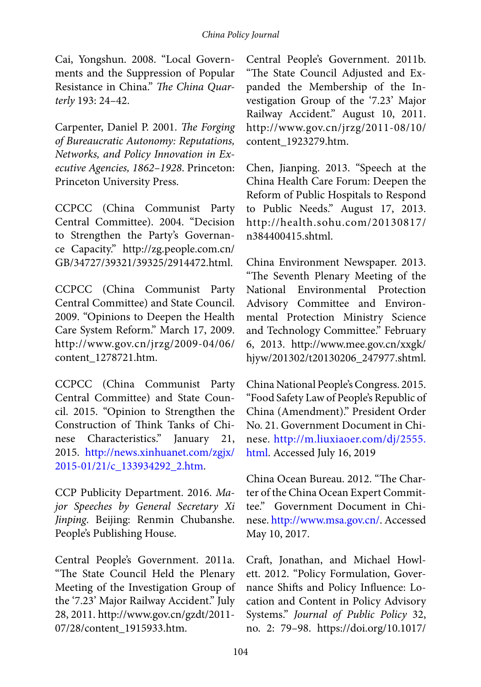Cai, Yongshun. 2008. "Local Governments and the Suppression of Popular Resistance in China." *The China Quarterly* 193: 24–42.

Carpenter, Daniel P. 2001. *The Forging of Bureaucratic Autonomy: Reputations, Networks, and Policy Innovation in Executive Agencies, 1862–1928*. Princeton: Princeton University Press.

CCPCC (China Communist Party Central Committee). 2004. "Decision to Strengthen the Party's Governance Capacity." http://zg.people.com.cn/ GB/34727/39321/39325/2914472.html.

CCPCC (China Communist Party Central Committee) and State Council. 2009. "Opinions to Deepen the Health Care System Reform." March 17, 2009. http://www.gov.cn/jrzg/2009-04/06/ content\_1278721.htm.

CCPCC (China Communist Party Central Committee) and State Council. 2015. "Opinion to Strengthen the Construction of Think Tanks of Chinese Characteristics." January 21, 2015. [http://news.xinhuanet.com/zgjx/](http://news.xinhuanet.com/zgjx/2015-01/21/c_133934292_2.htm) [2015-01/21/c\\_133934292\\_2.htm](http://news.xinhuanet.com/zgjx/2015-01/21/c_133934292_2.htm).

CCP Publicity Department. 2016. *Major Speeches by General Secretary Xi Jinping*. Beijing: Renmin Chubanshe. People's Publishing House.

Central People's Government. 2011a. "The State Council Held the Plenary Meeting of the Investigation Group of the '7.23' Major Railway Accident." July 28, 2011. http://www.gov.cn/gzdt/2011- 07/28/content\_1915933.htm.

Central People's Government. 2011b. "The State Council Adjusted and Expanded the Membership of the Investigation Group of the '7.23' Major Railway Accident." August 10, 2011. http://www.gov.cn/jrzg/2011-08/10/ content\_1923279.htm.

Chen, Jianping. 2013. "Speech at the China Health Care Forum: Deepen the Reform of Public Hospitals to Respond to Public Needs." August 17, 2013. http://health.sohu.com/20130817/ n384400415.shtml.

China Environment Newspaper. 2013. "The Seventh Plenary Meeting of the National Environmental Protection Advisory Committee and Environmental Protection Ministry Science and Technology Committee." February 6, 2013. http://www.mee.gov.cn/xxgk/ hjyw/201302/t20130206\_247977.shtml.

China National People's Congress. 2015. "Food Safety Law of People's Republic of China (Amendment)." President Order No. 21. Government Document in Chinese. [http://m.liuxiaoer.com/dj/2555.](http://m.liuxiaoer.com/dj/2555.html) [html.](http://m.liuxiaoer.com/dj/2555.html) Accessed July 16, 2019

China Ocean Bureau. 2012. "The Charter of the China Ocean Expert Committee." Government Document in Chinese. [http://www.msa.gov.cn/.](http://www.msa.gov.cn/) Accessed May 10, 2017.

Craft, Jonathan, and Michael Howlett. 2012. "Policy Formulation, Governance Shifts and Policy Influence: Location and Content in Policy Advisory Systems." *Journal of Public Policy* 32, no. 2: 79–98. https://doi.org/10.1017/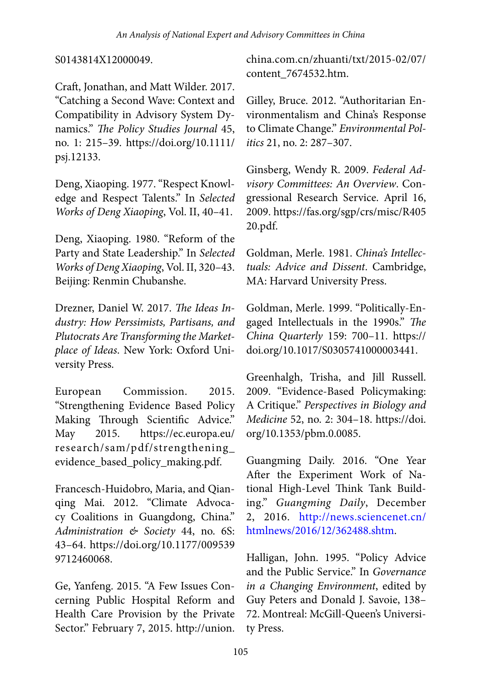S0143814X12000049.

Craft, Jonathan, and Matt Wilder. 2017. "Catching a Second Wave: Context and Compatibility in Advisory System Dynamics." *The Policy Studies Journal* 45, no. 1: 215–39. https://doi.org/10.1111/ psj.12133.

Deng, Xiaoping. 1977. "Respect Knowledge and Respect Talents." In *Selected Works of Deng Xiaoping*, Vol. II, 40–41.

Deng, Xiaoping. 1980. "Reform of the Party and State Leadership." In *Selected Works of Deng Xiaoping*, Vol. II, 320–43. Beijing: Renmin Chubanshe.

Drezner, Daniel W. 2017. *The Ideas Industry: How Perssimists, Partisans, and Plutocrats Are Transforming the Marketplace of Ideas*. New York: Oxford University Press.

European Commission. 2015. "Strengthening Evidence Based Policy Making Through Scientific Advice." May 2015. https://ec.europa.eu/ research/sam/pdf/strengthening\_ evidence\_based\_policy\_making.pdf.

Francesch-Huidobro, Maria, and Qianqing Mai. 2012. "Climate Advocacy Coalitions in Guangdong, China." *Administration & Society* 44, no. 6S: 43–64. https://doi.org/10.1177/009539 9712460068.

Ge, Yanfeng. 2015. "A Few Issues Concerning Public Hospital Reform and Health Care Provision by the Private Sector." February 7, 2015. http://union. china.com.cn/zhuanti/txt/2015-02/07/ content\_7674532.htm.

Gilley, Bruce. 2012. "Authoritarian Environmentalism and China's Response to Climate Change." *Environmental Politics* 21, no. 2: 287–307.

Ginsberg, Wendy R. 2009. *Federal Advisory Committees: An Overview*. Congressional Research Service. April 16, 2009. https://fas.org/sgp/crs/misc/R405 20.pdf.

Goldman, Merle. 1981. *China's Intellectuals: Advice and Dissent*. Cambridge, MA: Harvard University Press.

Goldman, Merle. 1999. "Politically-Engaged Intellectuals in the 1990s." *The China Quarterly* 159: 700–11. https:// doi.org/10.1017/S0305741000003441.

Greenhalgh, Trisha, and Jill Russell. 2009. "Evidence-Based Policymaking: A Critique." *Perspectives in Biology and Medicine* 52, no. 2: 304–18. https://doi. org/10.1353/pbm.0.0085.

Guangming Daily. 2016. "One Year After the Experiment Work of National High-Level Think Tank Building." *Guangming Daily*, December 2, 2016. [http://news.sciencenet.cn/](http://news.sciencenet.cn/htmlnews/2016/12/362488.shtm) [htmlnews/2016/12/362488.shtm](http://news.sciencenet.cn/htmlnews/2016/12/362488.shtm).

Halligan, John. 1995. "Policy Advice and the Public Service." In *Governance in a Changing Environment*, edited by Guy Peters and Donald J. Savoie, 138– 72. Montreal: McGill-Queen's University Press.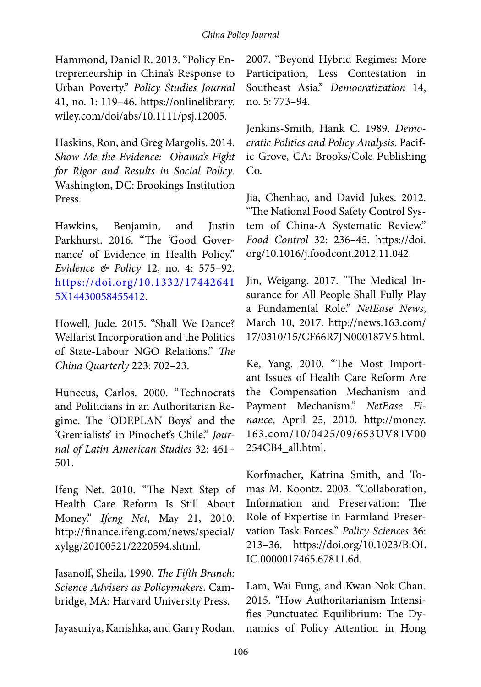Hammond, Daniel R. 2013. "Policy Entrepreneurship in China's Response to Urban Poverty." *Policy Studies Journal* 41, no. 1: 119–46. https://onlinelibrary. wiley.com/doi/abs/10.1111/psj.12005.

Haskins, Ron, and Greg Margolis. 2014. *Show Me the Evidence: Obama's Fight for Rigor and Results in Social Policy*. Washington, DC: Brookings Institution Press.

Hawkins, Benjamin, and Justin Parkhurst. 2016. "The 'Good Governance' of Evidence in Health Policy." *Evidence & Policy* 12, no. 4: 575–92. [https://doi.org/10.1332/17442641](https://doi.org/10.1332/174426415X14430058455412) [5X14430058455412.](https://doi.org/10.1332/174426415X14430058455412)

Howell, Jude. 2015. "Shall We Dance? Welfarist Incorporation and the Politics of State-Labour NGO Relations." *The China Quarterly* 223: 702–23.

Huneeus, Carlos. 2000. "Technocrats and Politicians in an Authoritarian Regime. The 'ODEPLAN Boys' and the 'Gremialists' in Pinochet's Chile." *Journal of Latin American Studies* 32: 461– 501.

Ifeng Net. 2010. "The Next Step of Health Care Reform Is Still About Money." *Ifeng Net*, May 21, 2010. http://finance.ifeng.com/news/special/ xylgg/20100521/2220594.shtml.

Jasanoff, Sheila. 1990. *The Fifth Branch: Science Advisers as Policymakers*. Cambridge, MA: Harvard University Press.

Jayasuriya, Kanishka, and Garry Rodan.

2007. "Beyond Hybrid Regimes: More Participation, Less Contestation in Southeast Asia." *Democratization* 14, no. 5: 773–94.

Jenkins-Smith, Hank C. 1989. *Democratic Politics and Policy Analysis*. Pacific Grove, CA: Brooks/Cole Publishing Co.

Jia, Chenhao, and David Jukes. 2012. "The National Food Safety Control System of China-A Systematic Review." *Food Control* 32: 236–45. https://doi. org/10.1016/j.foodcont.2012.11.042.

Jin, Weigang. 2017. "The Medical Insurance for All People Shall Fully Play a Fundamental Role." *NetEase News*, March 10, 2017. http://news.163.com/ 17/0310/15/CF66R7JN000187V5.html.

Ke, Yang. 2010. "The Most Important Issues of Health Care Reform Are the Compensation Mechanism and Payment Mechanism." *NetEase Finance*, April 25, 2010. http://money. 163.com/10/0425/09/653UV81V00 254CB4\_all.html.

Korfmacher, Katrina Smith, and Tomas M. Koontz. 2003. "Collaboration, Information and Preservation: The Role of Expertise in Farmland Preservation Task Forces." *Policy Sciences* 36: 213–36. https://doi.org/10.1023/B:OL IC.0000017465.67811.6d.

Lam, Wai Fung, and Kwan Nok Chan. 2015. "How Authoritarianism Intensifies Punctuated Equilibrium: The Dynamics of Policy Attention in Hong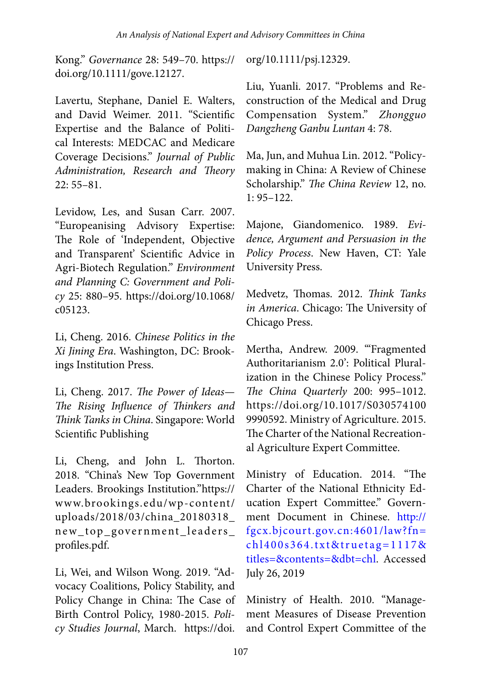Kong." *Governance* 28: 549–70. https:// doi.org/10.1111/gove.12127.

Lavertu, Stephane, Daniel E. Walters, and David Weimer. 2011. "Scientific Expertise and the Balance of Political Interests: MEDCAC and Medicare Coverage Decisions." *Journal of Public Administration, Research and Theory* 22: 55–81.

Levidow, Les, and Susan Carr. 2007. "Europeanising Advisory Expertise: The Role of 'Independent, Objective and Transparent' Scientific Advice in Agri-Biotech Regulation." *Environment and Planning C: Government and Policy* 25: 880–95. https://doi.org/10.1068/ c05123.

Li, Cheng. 2016. *Chinese Politics in the Xi Jining Era*. Washington, DC: Brookings Institution Press.

Li, Cheng. 2017. *The Power of Ideas— The Rising Influence of Thinkers and Think Tanks in China*. Singapore: World Scientific Publishing

Li, Cheng, and John L. Thorton. 2018. "China's New Top Government Leaders. Brookings Institution."https:// www.brookings.edu/wp-content/ uploads/2018/03/china\_20180318\_ new\_top\_government\_leaders\_ profiles.pdf.

Li, Wei, and Wilson Wong. 2019. "Advocacy Coalitions, Policy Stability, and Policy Change in China: The Case of Birth Control Policy, 1980-2015. *Policy Studies Journal*, March. https://doi.

org/10.1111/psj.12329.

Liu, Yuanli. 2017. "Problems and Reconstruction of the Medical and Drug Compensation System." *Zhongguo Dangzheng Ganbu Luntan* 4: 78.

Ma, Jun, and Muhua Lin. 2012. "Policymaking in China: A Review of Chinese Scholarship." *The China Review* 12, no. 1: 95–122.

Majone, Giandomenico. 1989. *Evidence, Argument and Persuasion in the Policy Process*. New Haven, CT: Yale University Press.

Medvetz, Thomas. 2012. *Think Tanks in America*. Chicago: The University of Chicago Press.

Mertha, Andrew. 2009. "Fragmented Authoritarianism 2.0': Political Pluralization in the Chinese Policy Process." *The China Quarterly* 200: 995–1012. https://doi.org/10.1017/S030574100 9990592. Ministry of Agriculture. 2015. The Charter of the National Recreational Agriculture Expert Committee.

Ministry of Education. 2014. "The Charter of the National Ethnicity Education Expert Committee." Government Document in Chinese. [http://](http://fgcx.bjcourt.gov.cn:4601/law?fn=chl400s364.txt&truetag=1117&titles=&contents=&dbt=chl) [fgcx.bjcourt.gov.cn:4601/law?fn=](http://fgcx.bjcourt.gov.cn:4601/law?fn=chl400s364.txt&truetag=1117&titles=&contents=&dbt=chl) [chl400s364.txt&truetag=1117&](http://fgcx.bjcourt.gov.cn:4601/law?fn=chl400s364.txt&truetag=1117&titles=&contents=&dbt=chl) [titles=&contents=&dbt=chl.](http://fgcx.bjcourt.gov.cn:4601/law?fn=chl400s364.txt&truetag=1117&titles=&contents=&dbt=chl) Accessed July 26, 2019

Ministry of Health. 2010. "Management Measures of Disease Prevention and Control Expert Committee of the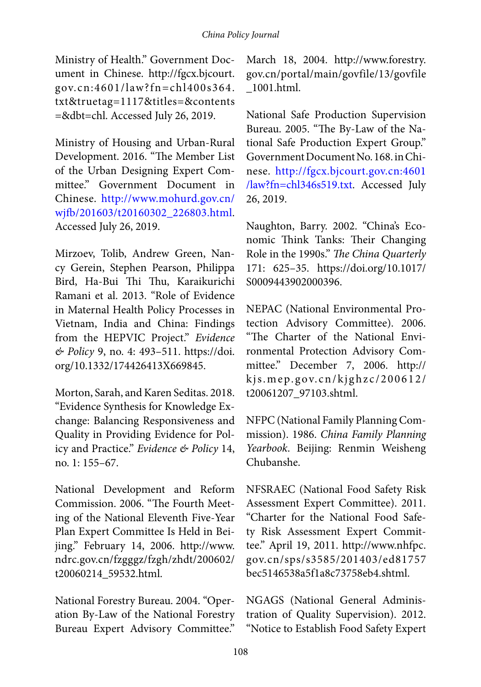#### *China Policy Journal*

Ministry of Health." Government Document in Chinese. http://fgcx.bjcourt. gov.cn:4601/law?fn=chl400s364. txt&truetag=1117&titles=&contents =&dbt=chl. Accessed July 26, 2019.

Ministry of Housing and Urban-Rural Development. 2016. "The Member List of the Urban Designing Expert Committee." Government Document in Chinese. [http://www.mohurd.gov.cn/](http://www.mohurd.gov.cn/wjfb/201603/t20160302_226803.html) [wjfb/201603/t20160302\\_226803.html](http://www.mohurd.gov.cn/wjfb/201603/t20160302_226803.html). Accessed July 26, 2019.

Mirzoev, Tolib, Andrew Green, Nancy Gerein, Stephen Pearson, Philippa Bird, Ha-Bui Thi Thu, Karaikurichi Ramani et al. 2013. "Role of Evidence in Maternal Health Policy Processes in Vietnam, India and China: Findings from the HEPVIC Project." *Evidence & Policy* 9, no. 4: 493–511. https://doi. org/10.1332/174426413X669845.

Morton, Sarah, and Karen Seditas. 2018. "Evidence Synthesis for Knowledge Exchange: Balancing Responsiveness and Quality in Providing Evidence for Policy and Practice." *Evidence & Policy* 14, no. 1: 155–67.

National Development and Reform Commission. 2006. "The Fourth Meeting of the National Eleventh Five-Year Plan Expert Committee Is Held in Beijing." February 14, 2006. http://www. ndrc.gov.cn/fzgggz/fzgh/zhdt/200602/ t20060214\_59532.html.

National Forestry Bureau. 2004. "Operation By-Law of the National Forestry Bureau Expert Advisory Committee."

March 18, 2004. http://www.forestry. gov.cn/portal/main/govfile/13/govfile \_1001.html.

National Safe Production Supervision Bureau. 2005. "The By-Law of the National Safe Production Expert Group." Government Document No. 168. in Chinese. [http://fgcx.bjcourt.gov.cn:4601](http://fgcx.bjcourt.gov.cn:4601/law?fn=chl346s519.txt) [/law?fn=chl346s519.txt](http://fgcx.bjcourt.gov.cn:4601/law?fn=chl346s519.txt). Accessed July 26, 2019.

Naughton, Barry. 2002. "China's Economic Think Tanks: Their Changing Role in the 1990s." *The China Quarterly* 171: 625–35. https://doi.org/10.1017/ S0009443902000396.

NEPAC (National Environmental Protection Advisory Committee). 2006. "The Charter of the National Environmental Protection Advisory Committee." December 7, 2006. http:// kjs.mep.gov.cn/kjghzc/200612/ t20061207\_97103.shtml.

NFPC (National Family Planning Commission). 1986. *China Family Planning Yearbook*. Beijing: Renmin Weisheng Chubanshe.

NFSRAEC (National Food Safety Risk Assessment Expert Committee). 2011. "Charter for the National Food Safety Risk Assessment Expert Committee." April 19, 2011. http://www.nhfpc. gov.cn/sps/s3585/201403/ed81757 bec5146538a5f1a8c73758eb4.shtml.

NGAGS (National General Administration of Quality Supervision). 2012. "Notice to Establish Food Safety Expert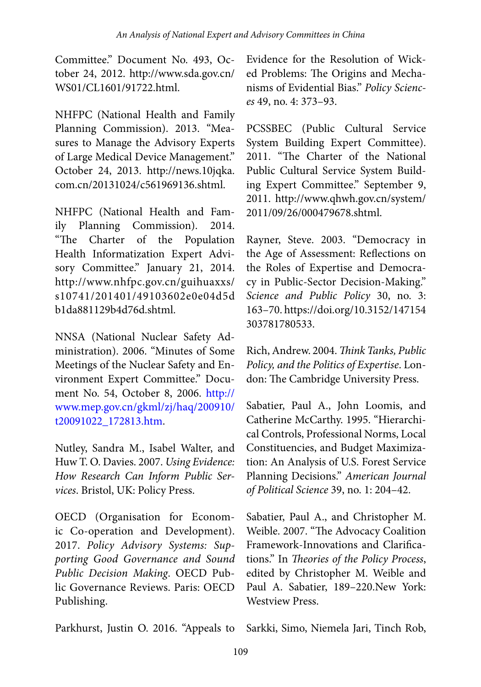Committee." Document No. 493, October 24, 2012. http://www.sda.gov.cn/ WS01/CL1601/91722.html.

NHFPC (National Health and Family Planning Commission). 2013. "Measures to Manage the Advisory Experts of Large Medical Device Management." October 24, 2013. http://news.10jqka. com.cn/20131024/c561969136.shtml.

NHFPC (National Health and Family Planning Commission). 2014. "The Charter of the Population Health Informatization Expert Advisory Committee." January 21, 2014. http://www.nhfpc.gov.cn/guihuaxxs/ s10741/201401/49103602e0e04d5d b1da881129b4d76d.shtml.

NNSA (National Nuclear Safety Administration). 2006. "Minutes of Some Meetings of the Nuclear Safety and Environment Expert Committee." Document No. 54, October 8, 2006. [http://](http://www.mep.gov.cn/gkml/zj/haq/200910/t20091022_172813.htm) [www.mep.gov.cn/gkml/zj/haq/200910/](http://www.mep.gov.cn/gkml/zj/haq/200910/t20091022_172813.htm) [t20091022\\_172813.htm](http://www.mep.gov.cn/gkml/zj/haq/200910/t20091022_172813.htm).

Nutley, Sandra M., Isabel Walter, and Huw T. O. Davies. 2007. *Using Evidence: How Research Can Inform Public Services*. Bristol, UK: Policy Press.

OECD (Organisation for Economic Co-operation and Development). 2017. *Policy Advisory Systems: Supporting Good Governance and Sound Public Decision Making*. OECD Public Governance Reviews. Paris: OECD Publishing.

Evidence for the Resolution of Wicked Problems: The Origins and Mechanisms of Evidential Bias." *Policy Sciences* 49, no. 4: 373–93.

PCSSBEC (Public Cultural Service System Building Expert Committee). 2011. "The Charter of the National Public Cultural Service System Building Expert Committee." September 9, 2011. http://www.qhwh.gov.cn/system/ 2011/09/26/000479678.shtml.

Rayner, Steve. 2003. "Democracy in the Age of Assessment: Reflections on the Roles of Expertise and Democracy in Public-Sector Decision-Making." *Science and Public Policy* 30, no. 3: 163–70. https://doi.org/10.3152/147154 303781780533.

Rich, Andrew. 2004. *Think Tanks, Public Policy, and the Politics of Expertise*. London: The Cambridge University Press.

Sabatier, Paul A., John Loomis, and Catherine McCarthy. 1995. "Hierarchical Controls, Professional Norms, Local Constituencies, and Budget Maximization: An Analysis of U.S. Forest Service Planning Decisions." *American Journal of Political Science* 39, no. 1: 204–42.

Sabatier, Paul A., and Christopher M. Weible. 2007. "The Advocacy Coalition Framework-Innovations and Clarifications." In *Theories of the Policy Process*, edited by Christopher M. Weible and Paul A. Sabatier, 189–220.New York: Westview Press.

Parkhurst, Justin O. 2016. "Appeals to Sarkki, Simo, Niemela Jari, Tinch Rob,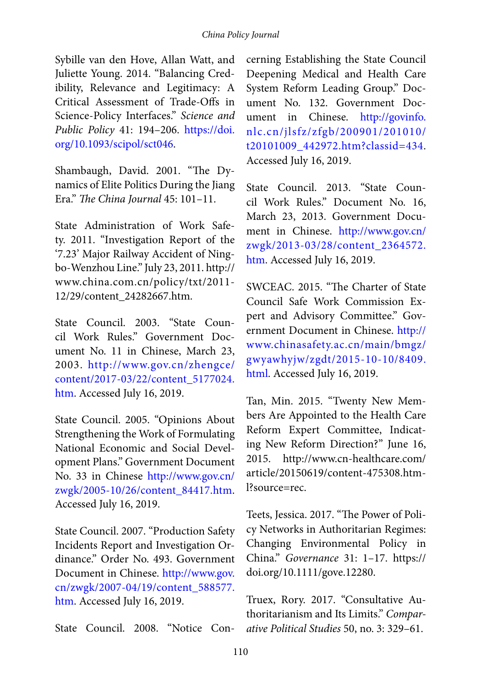#### *China Policy Journal*

Sybille van den Hove, Allan Watt, and Juliette Young. 2014. "Balancing Credibility, Relevance and Legitimacy: A Critical Assessment of Trade-Offs in Science-Policy Interfaces." *Science and Public Policy* 41: 194–206. [https://doi.](https://doi.org/10.1093/scipol/sct046) [org/10.1093/scipol/sct046](https://doi.org/10.1093/scipol/sct046).

Shambaugh, David. 2001. "The Dynamics of Elite Politics During the Jiang Era." *The China Journal* 45: 101–11.

State Administration of Work Safety. 2011. "Investigation Report of the '7.23' Major Railway Accident of Ningbo-Wenzhou Line." July 23, 2011. http:// www.china.com.cn/policy/txt/2011- 12/29/content\_24282667.htm.

State Council. 2003. "State Council Work Rules." Government Document No. 11 in Chinese, March 23, 2003. [http://www.gov.cn/zhengce/](http://www.gov.cn/zhengce/content/2017-03/22/content_5177024.htm) [content/2017-03/22/content\\_5177024.](http://www.gov.cn/zhengce/content/2017-03/22/content_5177024.htm) [htm](http://www.gov.cn/zhengce/content/2017-03/22/content_5177024.htm). Accessed July 16, 2019.

State Council. 2005. "Opinions About Strengthening the Work of Formulating National Economic and Social Development Plans." Government Document No. 33 in Chinese [http://www.gov.cn/](http://www.gov.cn/zwgk/2005-10/26/content_84417.htm) [zwgk/2005-10/26/content\\_84417.htm](http://www.gov.cn/zwgk/2005-10/26/content_84417.htm). Accessed July 16, 2019.

State Council. 2007. "Production Safety Incidents Report and Investigation Ordinance." Order No. 493. Government Document in Chinese. [http://www.gov.](http://www.gov.cn/zwgk/2007-04/19/content_588577.htm) [cn/zwgk/2007-04/19/content\\_588577.](http://www.gov.cn/zwgk/2007-04/19/content_588577.htm) [htm](http://www.gov.cn/zwgk/2007-04/19/content_588577.htm). Accessed July 16, 2019.

State Council. 2008. "Notice Con-

cerning Establishing the State Council Deepening Medical and Health Care System Reform Leading Group." Document No. 132. Government Document in Chinese. [http://govinfo.](http://govinfo.nlc.cn/jlsfz/zfgb/200901/201010/t20101009_442972.htm?classid=434) [nlc.cn/jlsfz/zfgb/200901/201010/](http://govinfo.nlc.cn/jlsfz/zfgb/200901/201010/t20101009_442972.htm?classid=434) [t20101009\\_442972.htm?classid=434.](http://govinfo.nlc.cn/jlsfz/zfgb/200901/201010/t20101009_442972.htm?classid=434) Accessed July 16, 2019.

State Council. 2013. "State Council Work Rules." Document No. 16, March 23, 2013. Government Document in Chinese. [http://www.gov.cn/](http://www.gov.cn/zwgk/2013-03/28/content_2364572.htm) [zwgk/2013-03/28/content\\_2364572.](http://www.gov.cn/zwgk/2013-03/28/content_2364572.htm) [htm.](http://www.gov.cn/zwgk/2013-03/28/content_2364572.htm) Accessed July 16, 2019.

SWCEAC. 2015. "The Charter of State Council Safe Work Commission Expert and Advisory Committee." Government Document in Chinese. [http://](http://www.chinasafety.ac.cn/main/bmgz/gwyawhyjw/zgdt/2015-10-10/8409.html) [www.chinasafety.ac.cn/main/bmgz/](http://www.chinasafety.ac.cn/main/bmgz/gwyawhyjw/zgdt/2015-10-10/8409.html) [gwyawhyjw/zgdt/2015-10-10/8409.](http://www.chinasafety.ac.cn/main/bmgz/gwyawhyjw/zgdt/2015-10-10/8409.html) [html.](http://www.chinasafety.ac.cn/main/bmgz/gwyawhyjw/zgdt/2015-10-10/8409.html) Accessed July 16, 2019.

Tan, Min. 2015. "Twenty New Members Are Appointed to the Health Care Reform Expert Committee, Indicating New Reform Direction?" June 16, 2015. http://www.cn-healthcare.com/ article/20150619/content-475308.html?source=rec.

Teets, Jessica. 2017. "The Power of Policy Networks in Authoritarian Regimes: Changing Environmental Policy in China." *Governance* 31: 1–17. https:// doi.org/10.1111/gove.12280.

Truex, Rory. 2017. "Consultative Authoritarianism and Its Limits." *Comparative Political Studies* 50, no. 3: 329–61.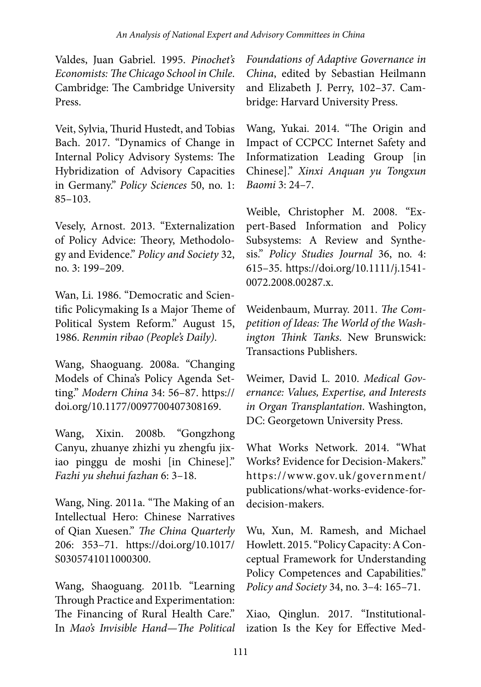Valdes, Juan Gabriel. 1995. *Pinochet's Economists: The Chicago School in Chile*. Cambridge: The Cambridge University Press.

Veit, Sylvia, Thurid Hustedt, and Tobias Bach. 2017. "Dynamics of Change in Internal Policy Advisory Systems: The Hybridization of Advisory Capacities in Germany." *Policy Sciences* 50, no. 1: 85–103.

Vesely, Arnost. 2013. "Externalization of Policy Advice: Theory, Methodology and Evidence." *Policy and Society* 32, no. 3: 199–209.

Wan, Li. 1986. "Democratic and Scientific Policymaking Is a Major Theme of Political System Reform." August 15, 1986. *Renmin ribao (People's Daily)*.

Wang, Shaoguang. 2008a. "Changing Models of China's Policy Agenda Setting." *Modern China* 34: 56–87. https:// doi.org/10.1177/0097700407308169.

Wang, Xixin. 2008b. "Gongzhong Canyu, zhuanye zhizhi yu zhengfu jixiao pinggu de moshi [in Chinese]." *Fazhi yu shehui fazhan* 6: 3–18.

Wang, Ning. 2011a. "The Making of an Intellectual Hero: Chinese Narratives of Qian Xuesen." *The China Quarterly* 206: 353–71. https://doi.org/10.1017/ S0305741011000300.

Wang, Shaoguang. 2011b. "Learning Through Practice and Experimentation: The Financing of Rural Health Care." In *Mao's Invisible Hand—The Political* 

*Foundations of Adaptive Governance in China*, edited by Sebastian Heilmann and Elizabeth J. Perry, 102–37. Cambridge: Harvard University Press.

Wang, Yukai. 2014. "The Origin and Impact of CCPCC Internet Safety and Informatization Leading Group [in Chinese]." *Xinxi Anquan yu Tongxun Baomi* 3: 24–7.

Weible, Christopher M. 2008. "Expert-Based Information and Policy Subsystems: A Review and Synthesis." *Policy Studies Journal* 36, no. 4: 615–35. https://doi.org/10.1111/j.1541- 0072.2008.00287.x.

Weidenbaum, Murray. 2011. *The Competition of Ideas: The World of the Washington Think Tanks*. New Brunswick: Transactions Publishers.

Weimer, David L. 2010. *Medical Governance: Values, Expertise, and Interests in Organ Transplantation*. Washington, DC: Georgetown University Press.

What Works Network. 2014. "What Works? Evidence for Decision-Makers." https://www.gov.uk/government/ publications/what-works-evidence-fordecision-makers.

Wu, Xun, M. Ramesh, and Michael Howlett. 2015. "Policy Capacity: A Conceptual Framework for Understanding Policy Competences and Capabilities." *Policy and Society* 34, no. 3–4: 165–71.

Xiao, Qinglun. 2017. "Institutionalization Is the Key for Effective Med-